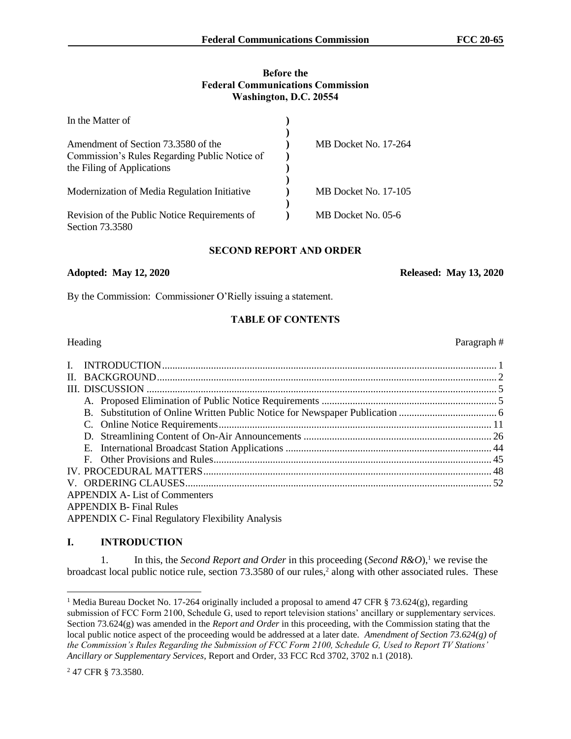### **Before the Federal Communications Commission Washington, D.C. 20554**

| In the Matter of                              |                             |
|-----------------------------------------------|-----------------------------|
|                                               |                             |
| Amendment of Section 73.3580 of the           | <b>MB</b> Docket No. 17-264 |
| Commission's Rules Regarding Public Notice of |                             |
| the Filing of Applications                    |                             |
|                                               |                             |
| Modernization of Media Regulation Initiative  | MB Docket No. 17-105        |
|                                               |                             |
| Revision of the Public Notice Requirements of | MB Docket No. 05-6          |
| Section 73.3580                               |                             |

## **SECOND REPORT AND ORDER**

#### **Adopted: May 12, 2020 Released: May 13, 2020**

By the Commission: Commissioner O'Rielly issuing a statement.

## **TABLE OF CONTENTS**

| П.                             |                                                          |  |  |
|--------------------------------|----------------------------------------------------------|--|--|
|                                |                                                          |  |  |
|                                |                                                          |  |  |
|                                |                                                          |  |  |
|                                |                                                          |  |  |
|                                |                                                          |  |  |
|                                |                                                          |  |  |
|                                |                                                          |  |  |
|                                |                                                          |  |  |
|                                |                                                          |  |  |
|                                | <b>APPENDIX A-List of Commenters</b>                     |  |  |
| <b>APPENDIX B- Final Rules</b> |                                                          |  |  |
|                                | <b>APPENDIX C- Final Regulatory Flexibility Analysis</b> |  |  |

## **I. INTRODUCTION**

1. In this, the *Second Report and Order* in this proceeding (*Second R&O*),<sup>1</sup> we revise the broadcast local public notice rule, section 73.3580 of our rules,<sup>2</sup> along with other associated rules. These

## Heading Paragraph #

<sup>&</sup>lt;sup>1</sup> Media Bureau Docket No. 17-264 originally included a proposal to amend 47 CFR § 73.624(g), regarding submission of FCC Form 2100, Schedule G, used to report television stations' ancillary or supplementary services. Section 73.624(g) was amended in the *Report and Order* in this proceeding, with the Commission stating that the local public notice aspect of the proceeding would be addressed at a later date. *Amendment of Section 73.624(g) of the Commission's Rules Regarding the Submission of FCC Form 2100, Schedule G, Used to Report TV Stations' Ancillary or Supplementary Services*, Report and Order, 33 FCC Rcd 3702, 3702 n.1 (2018).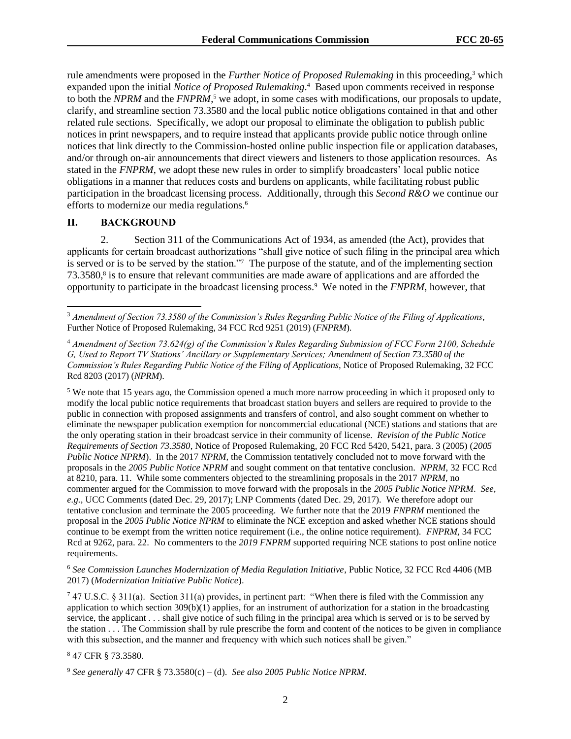rule amendments were proposed in the *Further Notice of Proposed Rulemaking* in this proceeding,<sup>3</sup> which expanded upon the initial *Notice of Proposed Rulemaking*. 4 Based upon comments received in response to both the *NPRM* and the *FNPRM*, <sup>5</sup> we adopt, in some cases with modifications, our proposals to update, clarify, and streamline section 73.3580 and the local public notice obligations contained in that and other related rule sections. Specifically, we adopt our proposal to eliminate the obligation to publish public notices in print newspapers, and to require instead that applicants provide public notice through online notices that link directly to the Commission-hosted online public inspection file or application databases, and/or through on-air announcements that direct viewers and listeners to those application resources. As stated in the *FNPRM*, we adopt these new rules in order to simplify broadcasters' local public notice obligations in a manner that reduces costs and burdens on applicants, while facilitating robust public participation in the broadcast licensing process. Additionally, through this *Second R&O* we continue our efforts to modernize our media regulations.<sup>6</sup>

## **II. BACKGROUND**

2. Section 311 of the Communications Act of 1934, as amended (the Act), provides that applicants for certain broadcast authorizations "shall give notice of such filing in the principal area which is served or is to be served by the station."<sup>7</sup> The purpose of the statute, and of the implementing section 73.3580,<sup>8</sup> is to ensure that relevant communities are made aware of applications and are afforded the opportunity to participate in the broadcast licensing process.<sup>9</sup> We noted in the *FNPRM*, however, that

<sup>5</sup> We note that 15 years ago, the Commission opened a much more narrow proceeding in which it proposed only to modify the local public notice requirements that broadcast station buyers and sellers are required to provide to the public in connection with proposed assignments and transfers of control, and also sought comment on whether to eliminate the newspaper publication exemption for noncommercial educational (NCE) stations and stations that are the only operating station in their broadcast service in their community of license. *Revision of the Public Notice Requirements of Section 73.3580*, Notice of Proposed Rulemaking, 20 FCC Rcd 5420, 5421, para. 3 (2005) (*2005 Public Notice NPRM*). In the 2017 *NPRM,* the Commission tentatively concluded not to move forward with the proposals in the *2005 Public Notice NPRM* and sought comment on that tentative conclusion. *NPRM*, 32 FCC Rcd at 8210, para. 11. While some commenters objected to the streamlining proposals in the 2017 *NPRM*, no commenter argued for the Commission to move forward with the proposals in the *2005 Public Notice NPRM*. *See, e.g.,* UCC Comments (dated Dec. 29, 2017); LNP Comments (dated Dec. 29, 2017). We therefore adopt our tentative conclusion and terminate the 2005 proceeding. We further note that the 2019 *FNPRM* mentioned the proposal in the *2005 Public Notice NPRM* to eliminate the NCE exception and asked whether NCE stations should continue to be exempt from the written notice requirement (i.e., the online notice requirement). *FNPRM,* 34 FCC Rcd at 9262, para. 22. No commenters to the *2019 FNPRM* supported requiring NCE stations to post online notice requirements.

<sup>6</sup> *See Commission Launches Modernization of Media Regulation Initiative*, Public Notice, 32 FCC Rcd 4406 (MB 2017) (*Modernization Initiative Public Notice*).

<sup>7</sup> 47 U.S.C. § 311(a). Section 311(a) provides, in pertinent part: "When there is filed with the Commission any application to which section  $309(b)(1)$  applies, for an instrument of authorization for a station in the broadcasting service, the applicant . . . shall give notice of such filing in the principal area which is served or is to be served by the station . . . The Commission shall by rule prescribe the form and content of the notices to be given in compliance with this subsection, and the manner and frequency with which such notices shall be given."

<sup>8</sup> 47 CFR § 73.3580.

<sup>3</sup> *Amendment of Section 73.3580 of the Commission's Rules Regarding Public Notice of the Filing of Applications*, Further Notice of Proposed Rulemaking, 34 FCC Rcd 9251 (2019) (*FNPRM*).

<sup>4</sup> *Amendment of Section 73.624(g) of the Commission's Rules Regarding Submission of FCC Form 2100, Schedule G, Used to Report TV Stations' Ancillary or Supplementary Services; Amendment of Section 73.3580 of the Commission's Rules Regarding Public Notice of the Filing of Applications*, Notice of Proposed Rulemaking, 32 FCC Rcd 8203 (2017) (*NPRM*).

<sup>9</sup> *See generally* 47 CFR § 73.3580(c) – (d). *See also 2005 Public Notice NPRM*.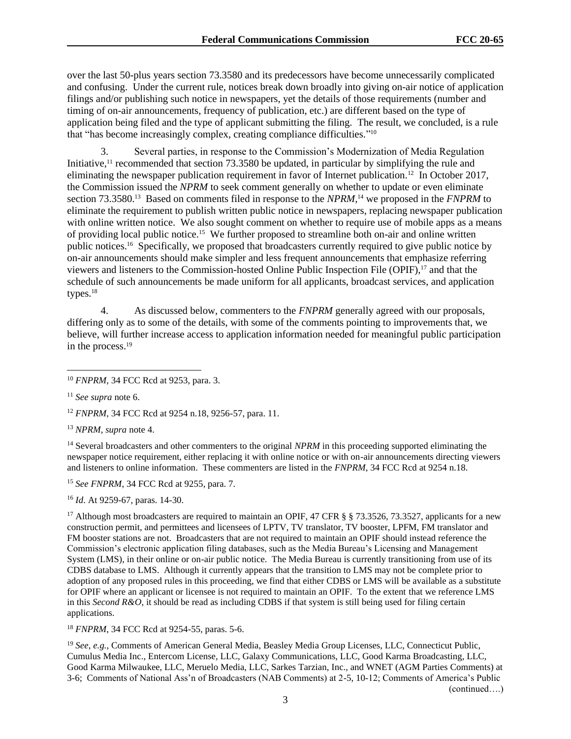over the last 50-plus years section 73.3580 and its predecessors have become unnecessarily complicated and confusing. Under the current rule, notices break down broadly into giving on-air notice of application filings and/or publishing such notice in newspapers, yet the details of those requirements (number and timing of on-air announcements, frequency of publication, etc.) are different based on the type of application being filed and the type of applicant submitting the filing. The result, we concluded, is a rule that "has become increasingly complex, creating compliance difficulties." 10

Several parties, in response to the Commission's Modernization of Media Regulation Initiative,<sup>11</sup> recommended that section 73.3580 be updated, in particular by simplifying the rule and eliminating the newspaper publication requirement in favor of Internet publication.<sup>12</sup> In October 2017, the Commission issued the *NPRM* to seek comment generally on whether to update or even eliminate section 73.3580.<sup>13</sup> Based on comments filed in response to the *NPRM*,<sup>14</sup> we proposed in the *FNPRM* to eliminate the requirement to publish written public notice in newspapers, replacing newspaper publication with online written notice. We also sought comment on whether to require use of mobile apps as a means of providing local public notice.<sup>15</sup> We further proposed to streamline both on-air and online written public notices. <sup>16</sup> Specifically, we proposed that broadcasters currently required to give public notice by on-air announcements should make simpler and less frequent announcements that emphasize referring viewers and listeners to the Commission-hosted Online Public Inspection File (OPIF),<sup>17</sup> and that the schedule of such announcements be made uniform for all applicants, broadcast services, and application types. $18$ 

4. As discussed below, commenters to the *FNPRM* generally agreed with our proposals, differing only as to some of the details, with some of the comments pointing to improvements that, we believe, will further increase access to application information needed for meaningful public participation in the process.<sup>19</sup>

<sup>11</sup> *See supra* note 6.

<sup>12</sup> *FNPRM*, 34 FCC Rcd at 9254 n.18, 9256-57, para. 11.

<sup>13</sup> *NPRM, supra* note 4.

<sup>14</sup> Several broadcasters and other commenters to the original *NPRM* in this proceeding supported eliminating the newspaper notice requirement, either replacing it with online notice or with on-air announcements directing viewers and listeners to online information. These commenters are listed in the *FNPRM*, 34 FCC Rcd at 9254 n.18.

<sup>15</sup> *See FNPRM*, 34 FCC Rcd at 9255, para. 7.

<sup>16</sup> *Id*. At 9259-67, paras. 14-30.

<sup>17</sup> Although most broadcasters are required to maintain an OPIF, 47 CFR § § 73.3526, 73.3527, applicants for a new construction permit, and permittees and licensees of LPTV, TV translator, TV booster, LPFM, FM translator and FM booster stations are not. Broadcasters that are not required to maintain an OPIF should instead reference the Commission's electronic application filing databases, such as the Media Bureau's Licensing and Management System (LMS), in their online or on-air public notice. The Media Bureau is currently transitioning from use of its CDBS database to LMS. Although it currently appears that the transition to LMS may not be complete prior to adoption of any proposed rules in this proceeding, we find that either CDBS or LMS will be available as a substitute for OPIF where an applicant or licensee is not required to maintain an OPIF. To the extent that we reference LMS in this *Second R&O*, it should be read as including CDBS if that system is still being used for filing certain applications.

<sup>18</sup> *FNPRM*, 34 FCC Rcd at 9254-55, paras. 5-6.

<sup>19</sup> *See*, *e.g.*, Comments of American General Media, Beasley Media Group Licenses, LLC, Connecticut Public, Cumulus Media Inc., Entercom License, LLC, Galaxy Communications, LLC, Good Karma Broadcasting, LLC, Good Karma Milwaukee, LLC, Meruelo Media, LLC, Sarkes Tarzian, Inc., and WNET (AGM Parties Comments) at 3-6; Comments of National Ass'n of Broadcasters (NAB Comments) at 2-5, 10-12; Comments of America's Public (continued….)

3

<sup>10</sup> *FNPRM*, 34 FCC Rcd at 9253, para. 3.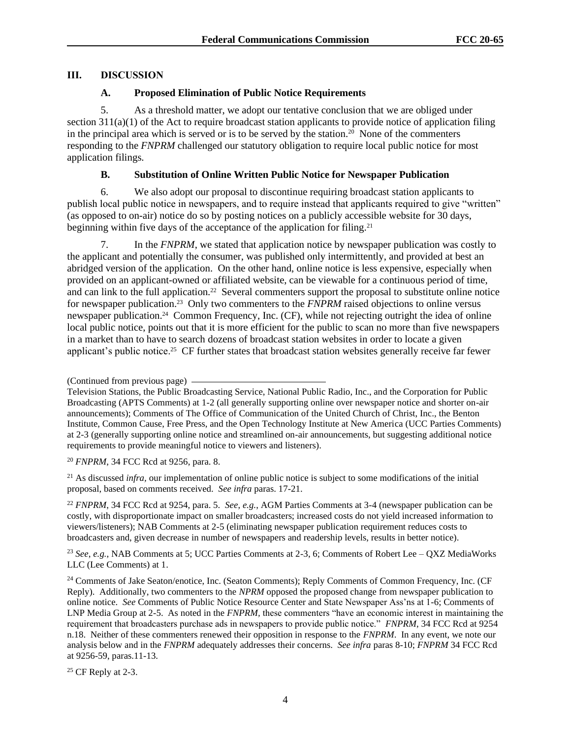# **III. DISCUSSION**

## **A. Proposed Elimination of Public Notice Requirements**

5. As a threshold matter, we adopt our tentative conclusion that we are obliged under section 311(a)(1) of the Act to require broadcast station applicants to provide notice of application filing in the principal area which is served or is to be served by the station.<sup>20</sup> None of the commenters responding to the *FNPRM* challenged our statutory obligation to require local public notice for most application filings.

# **B. Substitution of Online Written Public Notice for Newspaper Publication**

6. We also adopt our proposal to discontinue requiring broadcast station applicants to publish local public notice in newspapers, and to require instead that applicants required to give "written" (as opposed to on-air) notice do so by posting notices on a publicly accessible website for 30 days, beginning within five days of the acceptance of the application for filing.<sup>21</sup>

7. In the *FNPRM*, we stated that application notice by newspaper publication was costly to the applicant and potentially the consumer, was published only intermittently, and provided at best an abridged version of the application. On the other hand, online notice is less expensive, especially when provided on an applicant-owned or affiliated website, can be viewable for a continuous period of time, and can link to the full application.<sup>22</sup> Several commenters support the proposal to substitute online notice for newspaper publication.<sup>23</sup> Only two commenters to the *FNPRM* raised objections to online versus newspaper publication.<sup>24</sup> Common Frequency, Inc. (CF), while not rejecting outright the idea of online local public notice, points out that it is more efficient for the public to scan no more than five newspapers in a market than to have to search dozens of broadcast station websites in order to locate a given applicant's public notice.<sup>25</sup> CF further states that broadcast station websites generally receive far fewer

<sup>20</sup> *FNPRM*, 34 FCC Rcd at 9256, para. 8.

<sup>21</sup> As discussed *infra*, our implementation of online public notice is subject to some modifications of the initial proposal, based on comments received. *See infra* paras. 17-21.

<sup>22</sup> *FNPRM*, 34 FCC Rcd at 9254, para. 5. *See*, *e.g.*, AGM Parties Comments at 3-4 (newspaper publication can be costly, with disproportionate impact on smaller broadcasters; increased costs do not yield increased information to viewers/listeners); NAB Comments at 2-5 (eliminating newspaper publication requirement reduces costs to broadcasters and, given decrease in number of newspapers and readership levels, results in better notice).

<sup>23</sup> *See*, *e.g.*, NAB Comments at 5; UCC Parties Comments at 2-3, 6; Comments of Robert Lee – QXZ MediaWorks LLC (Lee Comments) at 1.

<sup>24</sup> Comments of Jake Seaton/enotice, Inc. (Seaton Comments); Reply Comments of Common Frequency, Inc. (CF Reply). Additionally, two commenters to the *NPRM* opposed the proposed change from newspaper publication to online notice. *See* Comments of Public Notice Resource Center and State Newspaper Ass'ns at 1-6; Comments of LNP Media Group at 2-5. As noted in the *FNPRM,* these commenters "have an economic interest in maintaining the requirement that broadcasters purchase ads in newspapers to provide public notice." *FNPRM*, 34 FCC Rcd at 9254 n.18. Neither of these commenters renewed their opposition in response to the *FNPRM*. In any event, we note our analysis below and in the *FNPRM* adequately addresses their concerns. *See infra* paras 8-10; *FNPRM* 34 FCC Rcd at 9256-59, paras.11-13.

 $25$  CF Reply at 2-3.

<sup>(</sup>Continued from previous page)

Television Stations, the Public Broadcasting Service, National Public Radio, Inc., and the Corporation for Public Broadcasting (APTS Comments) at 1-2 (all generally supporting online over newspaper notice and shorter on-air announcements); Comments of The Office of Communication of the United Church of Christ, Inc., the Benton Institute, Common Cause, Free Press, and the Open Technology Institute at New America (UCC Parties Comments) at 2-3 (generally supporting online notice and streamlined on-air announcements, but suggesting additional notice requirements to provide meaningful notice to viewers and listeners).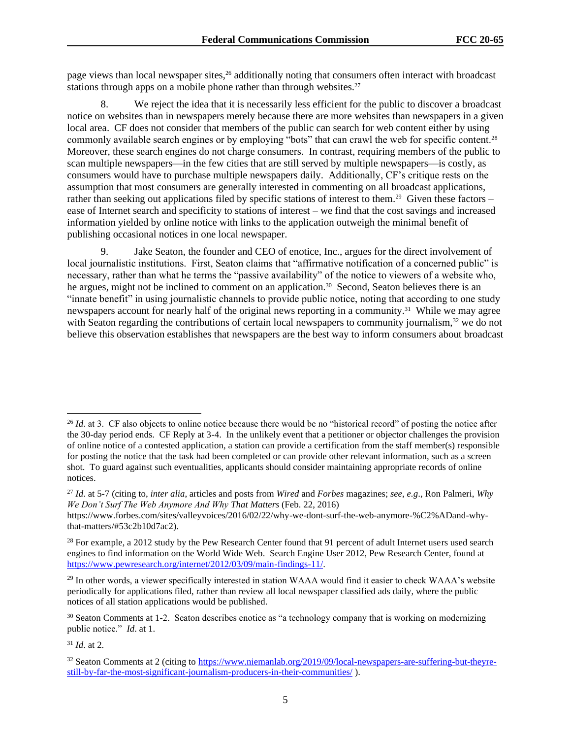page views than local newspaper sites,<sup>26</sup> additionally noting that consumers often interact with broadcast stations through apps on a mobile phone rather than through websites.<sup>27</sup>

8. We reject the idea that it is necessarily less efficient for the public to discover a broadcast notice on websites than in newspapers merely because there are more websites than newspapers in a given local area. CF does not consider that members of the public can search for web content either by using commonly available search engines or by employing "bots" that can crawl the web for specific content.<sup>28</sup> Moreover, these search engines do not charge consumers. In contrast, requiring members of the public to scan multiple newspapers—in the few cities that are still served by multiple newspapers—is costly, as consumers would have to purchase multiple newspapers daily. Additionally, CF's critique rests on the assumption that most consumers are generally interested in commenting on all broadcast applications, rather than seeking out applications filed by specific stations of interest to them.<sup>29</sup> Given these factors – ease of Internet search and specificity to stations of interest – we find that the cost savings and increased information yielded by online notice with links to the application outweigh the minimal benefit of publishing occasional notices in one local newspaper.

9. Jake Seaton, the founder and CEO of enotice, Inc., argues for the direct involvement of local journalistic institutions. First, Seaton claims that "affirmative notification of a concerned public" is necessary, rather than what he terms the "passive availability" of the notice to viewers of a website who, he argues, might not be inclined to comment on an application.<sup>30</sup> Second, Seaton believes there is an "innate benefit" in using journalistic channels to provide public notice, noting that according to one study newspapers account for nearly half of the original news reporting in a community.<sup>31</sup> While we may agree with Seaton regarding the contributions of certain local newspapers to community journalism,<sup>32</sup> we do not believe this observation establishes that newspapers are the best way to inform consumers about broadcast

<sup>31</sup> *Id*. at 2.

<sup>&</sup>lt;sup>26</sup> *Id.* at 3. CF also objects to online notice because there would be no "historical record" of posting the notice after the 30-day period ends. CF Reply at 3-4. In the unlikely event that a petitioner or objector challenges the provision of online notice of a contested application, a station can provide a certification from the staff member(s) responsible for posting the notice that the task had been completed or can provide other relevant information, such as a screen shot. To guard against such eventualities, applicants should consider maintaining appropriate records of online notices.

<sup>27</sup> *Id*. at 5-7 (citing to, *inter alia*, articles and posts from *Wired* and *Forbes* magazines; *see*, *e.g*., Ron Palmeri, *Why We Don't Surf The Web Anymore And Why That Matters* (Feb. 22, 2016)

https://www.forbes.com/sites/valleyvoices/2016/02/22/why-we-dont-surf-the-web-anymore-%C2%ADand-whythat-matters/#53c2b10d7ac2).

 $28$  For example, a 2012 study by the Pew Research Center found that 91 percent of adult Internet users used search engines to find information on the World Wide Web. Search Engine User 2012, Pew Research Center, found at https://www.pewresearch.org/internet/2012/03/09/main-findings-11/.

<sup>&</sup>lt;sup>29</sup> In other words, a viewer specifically interested in station WAAA would find it easier to check WAAA's website periodically for applications filed, rather than review all local newspaper classified ads daily, where the public notices of all station applications would be published.

<sup>&</sup>lt;sup>30</sup> Seaton Comments at 1-2. Seaton describes enotice as "a technology company that is working on modernizing public notice." *Id*. at 1.

<sup>&</sup>lt;sup>32</sup> Seaton Comments at 2 (citing to https://www.niemanlab.org/2019/09/local-newspapers-are-suffering-but-theyrestill-by-far-the-most-significant-journalism-producers-in-their-communities/ ).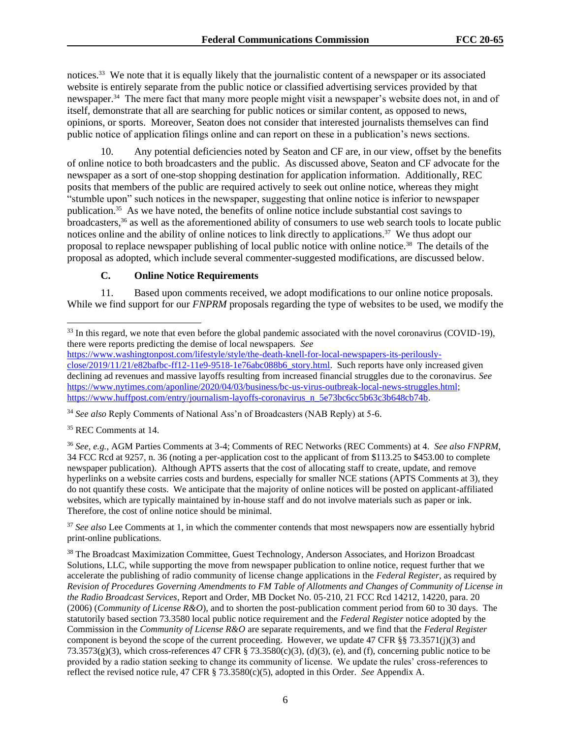notices.<sup>33</sup> We note that it is equally likely that the journalistic content of a newspaper or its associated website is entirely separate from the public notice or classified advertising services provided by that newspaper.<sup>34</sup> The mere fact that many more people might visit a newspaper's website does not, in and of itself, demonstrate that all are searching for public notices or similar content, as opposed to news, opinions, or sports. Moreover, Seaton does not consider that interested journalists themselves can find public notice of application filings online and can report on these in a publication's news sections.

10. Any potential deficiencies noted by Seaton and CF are, in our view, offset by the benefits of online notice to both broadcasters and the public. As discussed above, Seaton and CF advocate for the newspaper as a sort of one-stop shopping destination for application information. Additionally, REC posits that members of the public are required actively to seek out online notice, whereas they might "stumble upon" such notices in the newspaper, suggesting that online notice is inferior to newspaper publication.<sup>35</sup> As we have noted, the benefits of online notice include substantial cost savings to broadcasters,<sup>36</sup> as well as the aforementioned ability of consumers to use web search tools to locate public notices online and the ability of online notices to link directly to applications.<sup>37</sup> We thus adopt our proposal to replace newspaper publishing of local public notice with online notice.<sup>38</sup> The details of the proposal as adopted, which include several commenter-suggested modifications, are discussed below.

## **C. Online Notice Requirements**

11. Based upon comments received, we adopt modifications to our online notice proposals. While we find support for our *FNPRM* proposals regarding the type of websites to be used, we modify the

<sup>36</sup> *See*, *e.g.*, AGM Parties Comments at 3-4; Comments of REC Networks (REC Comments) at 4. *See also FNPRM*, 34 FCC Rcd at 9257, n. 36 (noting a per-application cost to the applicant of from \$113.25 to \$453.00 to complete newspaper publication). Although APTS asserts that the cost of allocating staff to create, update, and remove hyperlinks on a website carries costs and burdens, especially for smaller NCE stations (APTS Comments at 3), they do not quantify these costs. We anticipate that the majority of online notices will be posted on applicant-affiliated websites, which are typically maintained by in-house staff and do not involve materials such as paper or ink. Therefore, the cost of online notice should be minimal.

<sup>37</sup> See also Lee Comments at 1, in which the commenter contends that most newspapers now are essentially hybrid print-online publications.

<sup>38</sup> The Broadcast Maximization Committee, Guest Technology, Anderson Associates, and Horizon Broadcast Solutions, LLC, while supporting the move from newspaper publication to online notice, request further that we accelerate the publishing of radio community of license change applications in the *Federal Register*, as required by *Revision of Procedures Governing Amendments to FM Table of Allotments and Changes of Community of License in the Radio Broadcast Services*, Report and Order, MB Docket No. 05-210, 21 FCC Rcd 14212, 14220, para. 20 (2006) (*Community of License R&O*), and to shorten the post-publication comment period from 60 to 30 days. The statutorily based section 73.3580 local public notice requirement and the *Federal Register* notice adopted by the Commission in the *Community of License R&O* are separate requirements, and we find that the *Federal Register* component is beyond the scope of the current proceeding. However, we update 47 CFR §§ 73.3571(j)(3) and  $73.3573(g)(3)$ , which cross-references 47 CFR § 73.3580(c)(3), (d)(3), (e), and (f), concerning public notice to be provided by a radio station seeking to change its community of license. We update the rules' cross-references to reflect the revised notice rule, 47 CFR § 73.3580(c)(5), adopted in this Order. *See* Appendix A.

<sup>&</sup>lt;sup>33</sup> In this regard, we note that even before the global pandemic associated with the novel coronavirus (COVID-19), there were reports predicting the demise of local newspapers. *See* 

https://www.washingtonpost.com/lifestyle/style/the-death-knell-for-local-newspapers-its-perilouslyclose/2019/11/21/e82bafbc-ff12-11e9-9518-1e76abc088b6\_story.html. Such reports have only increased given declining ad revenues and massive layoffs resulting from increased financial struggles due to the coronavirus. *See* https://www.nytimes.com/aponline/2020/04/03/business/bc-us-virus-outbreak-local-news-struggles.html; https://www.huffpost.com/entry/journalism-layoffs-coronavirus\_n\_5e73bc6cc5b63c3b648cb74b.

<sup>34</sup> *See also* Reply Comments of National Ass'n of Broadcasters (NAB Reply) at 5-6.

<sup>35</sup> REC Comments at 14.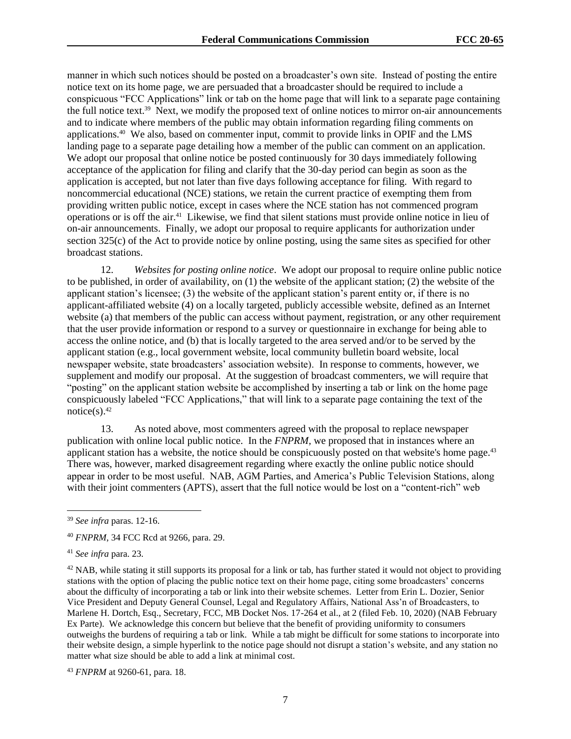manner in which such notices should be posted on a broadcaster's own site. Instead of posting the entire notice text on its home page, we are persuaded that a broadcaster should be required to include a conspicuous "FCC Applications" link or tab on the home page that will link to a separate page containing the full notice text.<sup>39</sup> Next, we modify the proposed text of online notices to mirror on-air announcements and to indicate where members of the public may obtain information regarding filing comments on applications.<sup>40</sup> We also, based on commenter input, commit to provide links in OPIF and the LMS landing page to a separate page detailing how a member of the public can comment on an application. We adopt our proposal that online notice be posted continuously for 30 days immediately following acceptance of the application for filing and clarify that the 30-day period can begin as soon as the application is accepted, but not later than five days following acceptance for filing. With regard to noncommercial educational (NCE) stations, we retain the current practice of exempting them from providing written public notice, except in cases where the NCE station has not commenced program operations or is off the air.<sup>41</sup> Likewise, we find that silent stations must provide online notice in lieu of on-air announcements. Finally, we adopt our proposal to require applicants for authorization under section 325(c) of the Act to provide notice by online posting, using the same sites as specified for other broadcast stations.

12. *Websites for posting online notice*. We adopt our proposal to require online public notice to be published, in order of availability, on (1) the website of the applicant station; (2) the website of the applicant station's licensee; (3) the website of the applicant station's parent entity or, if there is no applicant-affiliated website (4) on a locally targeted, publicly accessible website, defined as an Internet website (a) that members of the public can access without payment, registration, or any other requirement that the user provide information or respond to a survey or questionnaire in exchange for being able to access the online notice, and (b) that is locally targeted to the area served and/or to be served by the applicant station (e.g., local government website, local community bulletin board website, local newspaper website, state broadcasters' association website). In response to comments, however, we supplement and modify our proposal. At the suggestion of broadcast commenters, we will require that "posting" on the applicant station website be accomplished by inserting a tab or link on the home page conspicuously labeled "FCC Applications," that will link to a separate page containing the text of the notice(s). $42$ 

13. As noted above, most commenters agreed with the proposal to replace newspaper publication with online local public notice. In the *FNPRM,* we proposed that in instances where an applicant station has a website, the notice should be conspicuously posted on that website's home page.<sup>43</sup> There was, however, marked disagreement regarding where exactly the online public notice should appear in order to be most useful. NAB, AGM Parties, and America's Public Television Stations, along with their joint commenters (APTS), assert that the full notice would be lost on a "content-rich" web

 $42$  NAB, while stating it still supports its proposal for a link or tab, has further stated it would not object to providing stations with the option of placing the public notice text on their home page, citing some broadcasters' concerns about the difficulty of incorporating a tab or link into their website schemes. Letter from Erin L. Dozier, Senior Vice President and Deputy General Counsel, Legal and Regulatory Affairs, National Ass'n of Broadcasters, to Marlene H. Dortch, Esq., Secretary, FCC, MB Docket Nos. 17-264 et al., at 2 (filed Feb. 10, 2020) (NAB February Ex Parte). We acknowledge this concern but believe that the benefit of providing uniformity to consumers outweighs the burdens of requiring a tab or link. While a tab might be difficult for some stations to incorporate into their website design, a simple hyperlink to the notice page should not disrupt a station's website, and any station no matter what size should be able to add a link at minimal cost.

<sup>43</sup> *FNPRM* at 9260-61, para. 18.

<sup>39</sup> *See infra* paras. 12-16.

<sup>40</sup> *FNPRM*, 34 FCC Rcd at 9266, para. 29.

<sup>41</sup> *See infra* para. 23.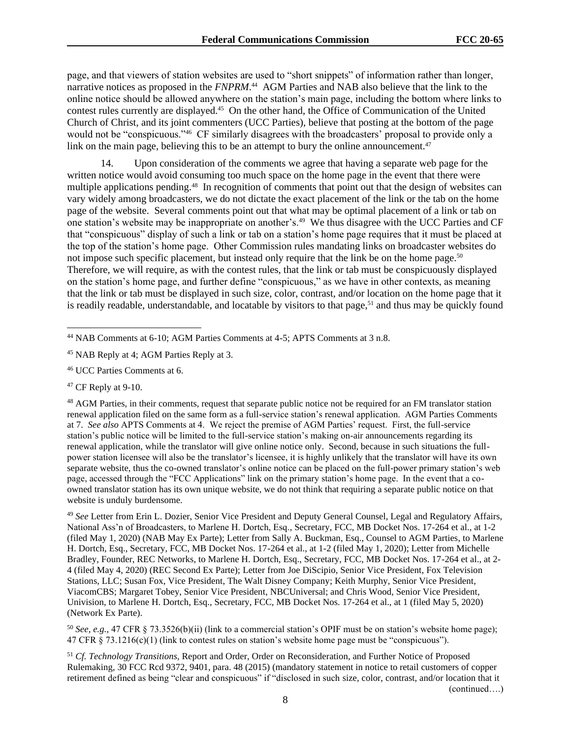page, and that viewers of station websites are used to "short snippets" of information rather than longer, narrative notices as proposed in the *FNPRM*. 44 AGM Parties and NAB also believe that the link to the online notice should be allowed anywhere on the station's main page, including the bottom where links to contest rules currently are displayed.<sup>45</sup> On the other hand, the Office of Communication of the United Church of Christ, and its joint commenters (UCC Parties), believe that posting at the bottom of the page would not be "conspicuous."<sup>46</sup> CF similarly disagrees with the broadcasters' proposal to provide only a link on the main page, believing this to be an attempt to bury the online announcement. $47$ 

14. Upon consideration of the comments we agree that having a separate web page for the written notice would avoid consuming too much space on the home page in the event that there were multiple applications pending.<sup>48</sup> In recognition of comments that point out that the design of websites can vary widely among broadcasters, we do not dictate the exact placement of the link or the tab on the home page of the website. Several comments point out that what may be optimal placement of a link or tab on one station's website may be inappropriate on another's.<sup>49</sup> We thus disagree with the UCC Parties and CF that "conspicuous" display of such a link or tab on a station's home page requires that it must be placed at the top of the station's home page. Other Commission rules mandating links on broadcaster websites do not impose such specific placement, but instead only require that the link be on the home page.<sup>50</sup> Therefore, we will require, as with the contest rules, that the link or tab must be conspicuously displayed on the station's home page, and further define "conspicuous," as we have in other contexts, as meaning that the link or tab must be displayed in such size, color, contrast, and/or location on the home page that it is readily readable, understandable, and locatable by visitors to that page,<sup>51</sup> and thus may be quickly found

<sup>48</sup> AGM Parties, in their comments, request that separate public notice not be required for an FM translator station renewal application filed on the same form as a full-service station's renewal application. AGM Parties Comments at 7. *See also* APTS Comments at 4. We reject the premise of AGM Parties' request. First, the full-service station's public notice will be limited to the full-service station's making on-air announcements regarding its renewal application, while the translator will give online notice only. Second, because in such situations the fullpower station licensee will also be the translator's licensee, it is highly unlikely that the translator will have its own separate website, thus the co-owned translator's online notice can be placed on the full-power primary station's web page, accessed through the "FCC Applications" link on the primary station's home page. In the event that a coowned translator station has its own unique website, we do not think that requiring a separate public notice on that website is unduly burdensome.

<sup>49</sup> *See* Letter from Erin L. Dozier, Senior Vice President and Deputy General Counsel, Legal and Regulatory Affairs, National Ass'n of Broadcasters, to Marlene H. Dortch, Esq., Secretary, FCC, MB Docket Nos. 17-264 et al., at 1-2 (filed May 1, 2020) (NAB May Ex Parte); Letter from Sally A. Buckman, Esq., Counsel to AGM Parties, to Marlene H. Dortch, Esq., Secretary, FCC, MB Docket Nos. 17-264 et al., at 1-2 (filed May 1, 2020); Letter from Michelle Bradley, Founder, REC Networks, to Marlene H. Dortch, Esq., Secretary, FCC, MB Docket Nos. 17-264 et al., at 2-4 (filed May 4, 2020) (REC Second Ex Parte); Letter from Joe DiScipio, Senior Vice President, Fox Television Stations, LLC; Susan Fox, Vice President, The Walt Disney Company; Keith Murphy, Senior Vice President, ViacomCBS; Margaret Tobey, Senior Vice President, NBCUniversal; and Chris Wood, Senior Vice President, Univision, to Marlene H. Dortch, Esq., Secretary, FCC, MB Docket Nos. 17-264 et al., at 1 (filed May 5, 2020) (Network Ex Parte).

<sup>50</sup> *See, e.g.,* 47 CFR § 73.3526(b)(ii) (link to a commercial station's OPIF must be on station's website home page); 47 CFR § 73.1216(c)(1) (link to contest rules on station's website home page must be "conspicuous").

<sup>51</sup> *Cf. Technology Transitions,* Report and Order, Order on Reconsideration, and Further Notice of Proposed Rulemaking, 30 FCC Rcd 9372, 9401, para. 48 (2015) (mandatory statement in notice to retail customers of copper retirement defined as being "clear and conspicuous" if "disclosed in such size, color, contrast, and/or location that it (continued….)

<sup>44</sup> NAB Comments at 6-10; AGM Parties Comments at 4-5; APTS Comments at 3 n.8.

<sup>45</sup> NAB Reply at 4; AGM Parties Reply at 3.

<sup>46</sup> UCC Parties Comments at 6.

 $47$  CF Reply at 9-10.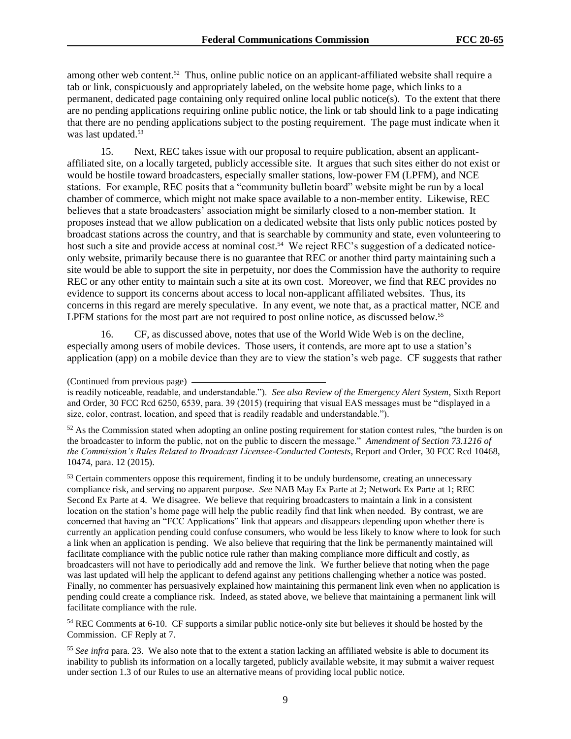among other web content.<sup>52</sup> Thus, online public notice on an applicant-affiliated website shall require a tab or link, conspicuously and appropriately labeled, on the website home page, which links to a permanent, dedicated page containing only required online local public notice(s). To the extent that there are no pending applications requiring online public notice, the link or tab should link to a page indicating that there are no pending applications subject to the posting requirement. The page must indicate when it was last updated.<sup>53</sup>

15. Next, REC takes issue with our proposal to require publication, absent an applicantaffiliated site, on a locally targeted, publicly accessible site. It argues that such sites either do not exist or would be hostile toward broadcasters, especially smaller stations, low-power FM (LPFM), and NCE stations. For example, REC posits that a "community bulletin board" website might be run by a local chamber of commerce, which might not make space available to a non-member entity. Likewise, REC believes that a state broadcasters' association might be similarly closed to a non-member station. It proposes instead that we allow publication on a dedicated website that lists only public notices posted by broadcast stations across the country, and that is searchable by community and state, even volunteering to host such a site and provide access at nominal cost.<sup>54</sup> We reject REC's suggestion of a dedicated noticeonly website, primarily because there is no guarantee that REC or another third party maintaining such a site would be able to support the site in perpetuity, nor does the Commission have the authority to require REC or any other entity to maintain such a site at its own cost. Moreover, we find that REC provides no evidence to support its concerns about access to local non-applicant affiliated websites. Thus, its concerns in this regard are merely speculative. In any event, we note that, as a practical matter, NCE and LPFM stations for the most part are not required to post online notice, as discussed below.<sup>55</sup>

16. CF, as discussed above, notes that use of the World Wide Web is on the decline, especially among users of mobile devices. Those users, it contends, are more apt to use a station's application (app) on a mobile device than they are to view the station's web page. CF suggests that rather

<sup>53</sup> Certain commenters oppose this requirement, finding it to be unduly burdensome, creating an unnecessary compliance risk, and serving no apparent purpose. *See* NAB May Ex Parte at 2; Network Ex Parte at 1; REC Second Ex Parte at 4. We disagree. We believe that requiring broadcasters to maintain a link in a consistent location on the station's home page will help the public readily find that link when needed. By contrast, we are concerned that having an "FCC Applications" link that appears and disappears depending upon whether there is currently an application pending could confuse consumers, who would be less likely to know where to look for such a link when an application is pending. We also believe that requiring that the link be permanently maintained will facilitate compliance with the public notice rule rather than making compliance more difficult and costly, as broadcasters will not have to periodically add and remove the link. We further believe that noting when the page was last updated will help the applicant to defend against any petitions challenging whether a notice was posted. Finally, no commenter has persuasively explained how maintaining this permanent link even when no application is pending could create a compliance risk. Indeed, as stated above, we believe that maintaining a permanent link will facilitate compliance with the rule.

<sup>54</sup> REC Comments at 6-10. CF supports a similar public notice-only site but believes it should be hosted by the Commission. CF Reply at 7.

<sup>55</sup> See infra para. 23. We also note that to the extent a station lacking an affiliated website is able to document its inability to publish its information on a locally targeted, publicly available website, it may submit a waiver request under section 1.3 of our Rules to use an alternative means of providing local public notice.

<sup>(</sup>Continued from previous page)

is readily noticeable, readable, and understandable."). *See also Review of the Emergency Alert System*, Sixth Report and Order, 30 FCC Rcd 6250, 6539, para. 39 (2015) (requiring that visual EAS messages must be "displayed in a size, color, contrast, location, and speed that is readily readable and understandable.").

<sup>&</sup>lt;sup>52</sup> As the Commission stated when adopting an online posting requirement for station contest rules, "the burden is on the broadcaster to inform the public, not on the public to discern the message." *Amendment of Section 73.1216 of the Commission's Rules Related to Broadcast Licensee-Conducted Contests*, Report and Order, 30 FCC Rcd 10468, 10474, para. 12 (2015).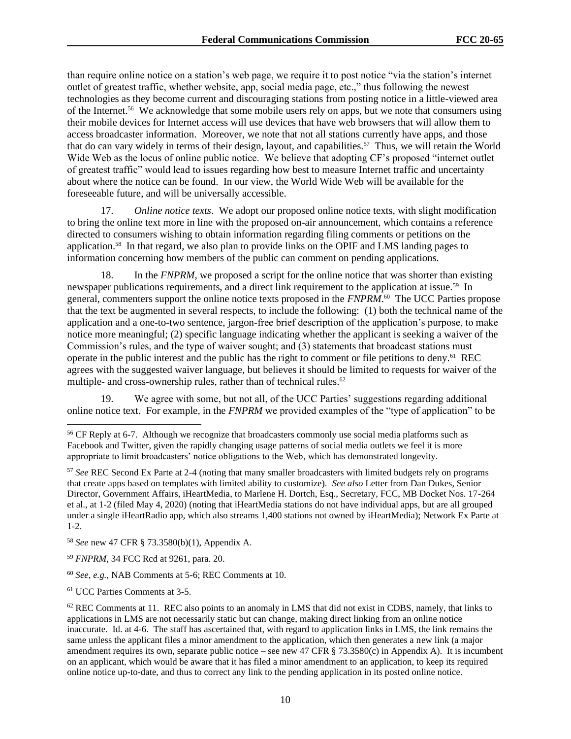than require online notice on a station's web page, we require it to post notice "via the station's internet outlet of greatest traffic, whether website, app, social media page, etc.," thus following the newest technologies as they become current and discouraging stations from posting notice in a little-viewed area of the Internet.<sup>56</sup> We acknowledge that some mobile users rely on apps, but we note that consumers using their mobile devices for Internet access will use devices that have web browsers that will allow them to access broadcaster information. Moreover, we note that not all stations currently have apps, and those that do can vary widely in terms of their design, layout, and capabilities.<sup>57</sup> Thus, we will retain the World Wide Web as the locus of online public notice. We believe that adopting CF's proposed "internet outlet of greatest traffic" would lead to issues regarding how best to measure Internet traffic and uncertainty about where the notice can be found. In our view, the World Wide Web will be available for the foreseeable future, and will be universally accessible.

17. *Online notice texts*. We adopt our proposed online notice texts, with slight modification to bring the online text more in line with the proposed on-air announcement, which contains a reference directed to consumers wishing to obtain information regarding filing comments or petitions on the application.<sup>58</sup> In that regard, we also plan to provide links on the OPIF and LMS landing pages to information concerning how members of the public can comment on pending applications.

18. In the *FNPRM,* we proposed a script for the online notice that was shorter than existing newspaper publications requirements, and a direct link requirement to the application at issue.<sup>59</sup> In general, commenters support the online notice texts proposed in the *FNPRM*.<sup>60</sup> The UCC Parties propose that the text be augmented in several respects, to include the following: (1) both the technical name of the application and a one-to-two sentence, jargon-free brief description of the application's purpose, to make notice more meaningful; (2) specific language indicating whether the applicant is seeking a waiver of the Commission's rules, and the type of waiver sought; and (3) statements that broadcast stations must operate in the public interest and the public has the right to comment or file petitions to deny.<sup>61</sup> REC agrees with the suggested waiver language, but believes it should be limited to requests for waiver of the multiple- and cross-ownership rules, rather than of technical rules.<sup>62</sup>

19. We agree with some, but not all, of the UCC Parties' suggestions regarding additional online notice text. For example, in the *FNPRM* we provided examples of the "type of application" to be

<sup>56</sup> CF Reply at 6-7. Although we recognize that broadcasters commonly use social media platforms such as Facebook and Twitter, given the rapidly changing usage patterns of social media outlets we feel it is more appropriate to limit broadcasters' notice obligations to the Web, which has demonstrated longevity.

<sup>57</sup> *See* REC Second Ex Parte at 2-4 (noting that many smaller broadcasters with limited budgets rely on programs that create apps based on templates with limited ability to customize). *See also* Letter from Dan Dukes, Senior Director, Government Affairs, iHeartMedia, to Marlene H. Dortch, Esq., Secretary, FCC, MB Docket Nos. 17-264 et al., at 1-2 (filed May 4, 2020) (noting that iHeartMedia stations do not have individual apps, but are all grouped under a single iHeartRadio app, which also streams 1,400 stations not owned by iHeartMedia); Network Ex Parte at 1-2.

<sup>58</sup> *See* new 47 CFR § 73.3580(b)(1), Appendix A.

<sup>59</sup> *FNPRM*, 34 FCC Rcd at 9261, para. 20.

<sup>60</sup> *See*, *e.g.*, NAB Comments at 5-6; REC Comments at 10.

<sup>61</sup> UCC Parties Comments at 3-5.

 $62$  REC Comments at 11. REC also points to an anomaly in LMS that did not exist in CDBS, namely, that links to applications in LMS are not necessarily static but can change, making direct linking from an online notice inaccurate. Id. at 4-6. The staff has ascertained that, with regard to application links in LMS, the link remains the same unless the applicant files a minor amendment to the application, which then generates a new link (a major amendment requires its own, separate public notice – see new 47 CFR  $\S$  73.3580(c) in Appendix A). It is incumbent on an applicant, which would be aware that it has filed a minor amendment to an application, to keep its required online notice up-to-date, and thus to correct any link to the pending application in its posted online notice.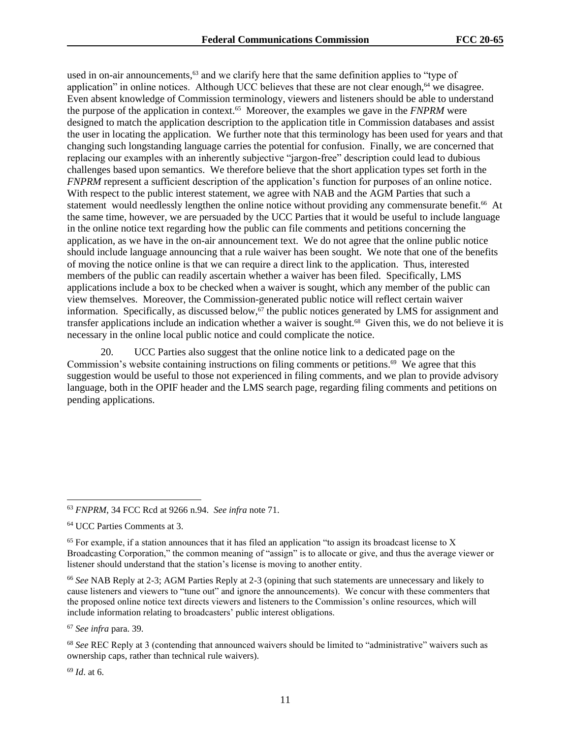used in on-air announcements,<sup>63</sup> and we clarify here that the same definition applies to "type of application" in online notices. Although UCC believes that these are not clear enough, $64$  we disagree. Even absent knowledge of Commission terminology, viewers and listeners should be able to understand the purpose of the application in context.<sup>65</sup> Moreover, the examples we gave in the *FNPRM* were designed to match the application description to the application title in Commission databases and assist the user in locating the application. We further note that this terminology has been used for years and that changing such longstanding language carries the potential for confusion. Finally, we are concerned that replacing our examples with an inherently subjective "jargon-free" description could lead to dubious challenges based upon semantics. We therefore believe that the short application types set forth in the *FNPRM* represent a sufficient description of the application's function for purposes of an online notice. With respect to the public interest statement, we agree with NAB and the AGM Parties that such a statement would needlessly lengthen the online notice without providing any commensurate benefit.<sup>66</sup> At the same time, however, we are persuaded by the UCC Parties that it would be useful to include language in the online notice text regarding how the public can file comments and petitions concerning the application, as we have in the on-air announcement text. We do not agree that the online public notice should include language announcing that a rule waiver has been sought. We note that one of the benefits of moving the notice online is that we can require a direct link to the application. Thus, interested members of the public can readily ascertain whether a waiver has been filed. Specifically, LMS applications include a box to be checked when a waiver is sought, which any member of the public can view themselves. Moreover, the Commission-generated public notice will reflect certain waiver information. Specifically, as discussed below, $\frac{67}{7}$  the public notices generated by LMS for assignment and transfer applications include an indication whether a waiver is sought.<sup>68</sup> Given this, we do not believe it is necessary in the online local public notice and could complicate the notice.

20. UCC Parties also suggest that the online notice link to a dedicated page on the Commission's website containing instructions on filing comments or petitions.<sup>69</sup> We agree that this suggestion would be useful to those not experienced in filing comments, and we plan to provide advisory language, both in the OPIF header and the LMS search page, regarding filing comments and petitions on pending applications.

<sup>67</sup> *See infra* para. 39.

<sup>69</sup> *Id*. at 6.

<sup>63</sup> *FNPRM*, 34 FCC Rcd at 9266 n.94. *See infra* note 71.

<sup>64</sup> UCC Parties Comments at 3.

 $65$  For example, if a station announces that it has filed an application "to assign its broadcast license to X Broadcasting Corporation," the common meaning of "assign" is to allocate or give, and thus the average viewer or listener should understand that the station's license is moving to another entity.

<sup>66</sup> *See* NAB Reply at 2-3; AGM Parties Reply at 2-3 (opining that such statements are unnecessary and likely to cause listeners and viewers to "tune out" and ignore the announcements). We concur with these commenters that the proposed online notice text directs viewers and listeners to the Commission's online resources, which will include information relating to broadcasters' public interest obligations.

<sup>68</sup> *See* REC Reply at 3 (contending that announced waivers should be limited to "administrative" waivers such as ownership caps, rather than technical rule waivers).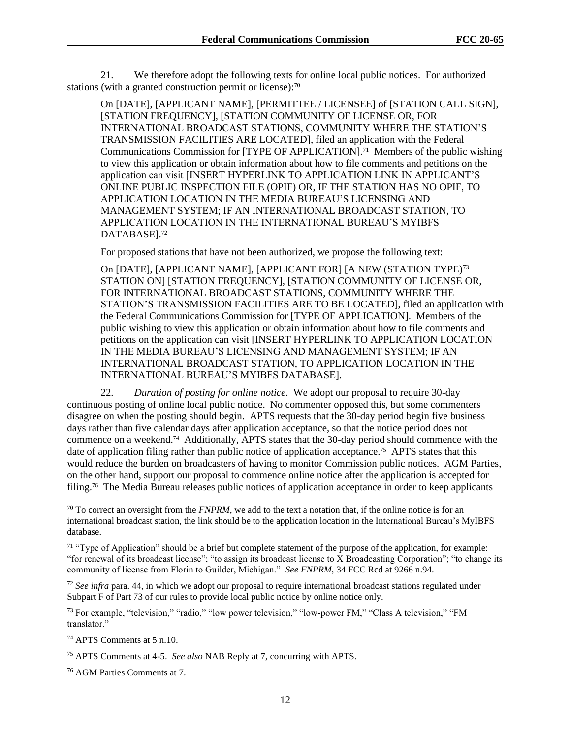21. We therefore adopt the following texts for online local public notices. For authorized stations (with a granted construction permit or license): $70$ 

On [DATE], [APPLICANT NAME], [PERMITTEE / LICENSEE] of [STATION CALL SIGN], [STATION FREQUENCY], [STATION COMMUNITY OF LICENSE OR, FOR INTERNATIONAL BROADCAST STATIONS, COMMUNITY WHERE THE STATION'S TRANSMISSION FACILITIES ARE LOCATED], filed an application with the Federal Communications Commission for [TYPE OF APPLICATION].<sup>71</sup> Members of the public wishing to view this application or obtain information about how to file comments and petitions on the application can visit [INSERT HYPERLINK TO APPLICATION LINK IN APPLICANT'S ONLINE PUBLIC INSPECTION FILE (OPIF) OR, IF THE STATION HAS NO OPIF, TO APPLICATION LOCATION IN THE MEDIA BUREAU'S LICENSING AND MANAGEMENT SYSTEM; IF AN INTERNATIONAL BROADCAST STATION, TO APPLICATION LOCATION IN THE INTERNATIONAL BUREAU'S MYIBFS DATABASE].<sup>72</sup>

For proposed stations that have not been authorized, we propose the following text:

On [DATE], [APPLICANT NAME], [APPLICANT FOR] [A NEW (STATION TYPE)<sup>73</sup> STATION ON] [STATION FREQUENCY], [STATION COMMUNITY OF LICENSE OR, FOR INTERNATIONAL BROADCAST STATIONS, COMMUNITY WHERE THE STATION'S TRANSMISSION FACILITIES ARE TO BE LOCATED], filed an application with the Federal Communications Commission for [TYPE OF APPLICATION]. Members of the public wishing to view this application or obtain information about how to file comments and petitions on the application can visit [INSERT HYPERLINK TO APPLICATION LOCATION IN THE MEDIA BUREAU'S LICENSING AND MANAGEMENT SYSTEM; IF AN INTERNATIONAL BROADCAST STATION, TO APPLICATION LOCATION IN THE INTERNATIONAL BUREAU'S MYIBFS DATABASE].

22. *Duration of posting for online notice*. We adopt our proposal to require 30-day continuous posting of online local public notice. No commenter opposed this, but some commenters disagree on when the posting should begin. APTS requests that the 30-day period begin five business days rather than five calendar days after application acceptance, so that the notice period does not commence on a weekend.<sup>74</sup> Additionally, APTS states that the 30-day period should commence with the date of application filing rather than public notice of application acceptance.<sup>75</sup> APTS states that this would reduce the burden on broadcasters of having to monitor Commission public notices. AGM Parties, on the other hand, support our proposal to commence online notice after the application is accepted for filing.<sup>76</sup> The Media Bureau releases public notices of application acceptance in order to keep applicants

<sup>73</sup> For example, "television," "radio," "low power television," "low-power FM," "Class A television," "FM translator."

<sup>74</sup> APTS Comments at 5 n.10.

<sup>76</sup> AGM Parties Comments at 7.

<sup>70</sup> To correct an oversight from the *FNPRM*, we add to the text a notation that, if the online notice is for an international broadcast station, the link should be to the application location in the International Bureau's MyIBFS database.

<sup>&</sup>lt;sup>71</sup> "Type of Application" should be a brief but complete statement of the purpose of the application, for example: "for renewal of its broadcast license"; "to assign its broadcast license to X Broadcasting Corporation"; "to change its community of license from Florin to Guilder, Michigan." *See FNPRM*, 34 FCC Rcd at 9266 n.94.

<sup>72</sup> *See infra* para. 44, in which we adopt our proposal to require international broadcast stations regulated under Subpart F of Part 73 of our rules to provide local public notice by online notice only.

<sup>75</sup> APTS Comments at 4-5. *See also* NAB Reply at 7, concurring with APTS.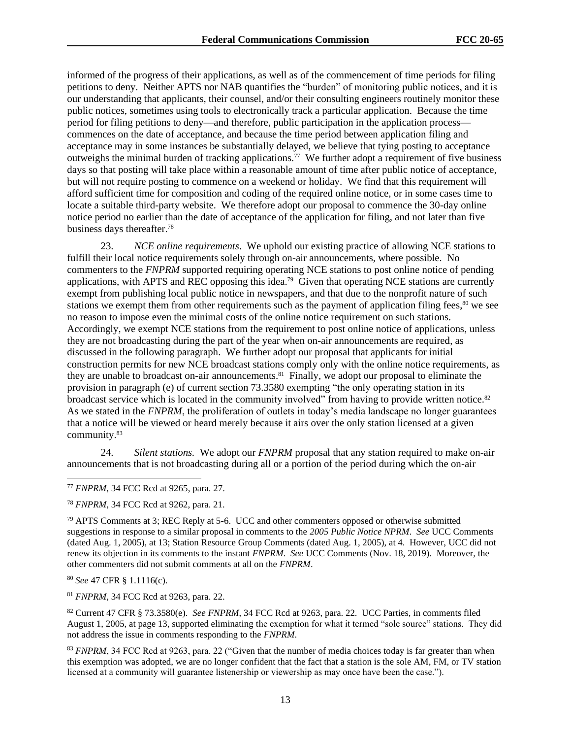informed of the progress of their applications, as well as of the commencement of time periods for filing petitions to deny. Neither APTS nor NAB quantifies the "burden" of monitoring public notices, and it is our understanding that applicants, their counsel, and/or their consulting engineers routinely monitor these public notices, sometimes using tools to electronically track a particular application. Because the time period for filing petitions to deny—and therefore, public participation in the application process commences on the date of acceptance, and because the time period between application filing and acceptance may in some instances be substantially delayed, we believe that tying posting to acceptance outweighs the minimal burden of tracking applications.<sup>77</sup> We further adopt a requirement of five business days so that posting will take place within a reasonable amount of time after public notice of acceptance, but will not require posting to commence on a weekend or holiday. We find that this requirement will afford sufficient time for composition and coding of the required online notice, or in some cases time to locate a suitable third-party website. We therefore adopt our proposal to commence the 30-day online notice period no earlier than the date of acceptance of the application for filing, and not later than five business days thereafter.<sup>78</sup>

23. *NCE online requirements*. We uphold our existing practice of allowing NCE stations to fulfill their local notice requirements solely through on-air announcements, where possible. No commenters to the *FNPRM* supported requiring operating NCE stations to post online notice of pending applications, with APTS and REC opposing this idea.<sup>79</sup> Given that operating NCE stations are currently exempt from publishing local public notice in newspapers, and that due to the nonprofit nature of such stations we exempt them from other requirements such as the payment of application filing fees,<sup>80</sup> we see no reason to impose even the minimal costs of the online notice requirement on such stations. Accordingly, we exempt NCE stations from the requirement to post online notice of applications, unless they are not broadcasting during the part of the year when on-air announcements are required, as discussed in the following paragraph. We further adopt our proposal that applicants for initial construction permits for new NCE broadcast stations comply only with the online notice requirements, as they are unable to broadcast on-air announcements.<sup>81</sup> Finally, we adopt our proposal to eliminate the provision in paragraph (e) of current section 73.3580 exempting "the only operating station in its broadcast service which is located in the community involved" from having to provide written notice.<sup>82</sup> As we stated in the *FNPRM*, the proliferation of outlets in today's media landscape no longer guarantees that a notice will be viewed or heard merely because it airs over the only station licensed at a given community.<sup>83</sup>

24. *Silent stations.* We adopt our *FNPRM* proposal that any station required to make on-air announcements that is not broadcasting during all or a portion of the period during which the on-air

<sup>80</sup> *See* 47 CFR § 1.1116(c).

<sup>81</sup> *FNPRM*, 34 FCC Rcd at 9263, para. 22.

<sup>82</sup> Current 47 CFR § 73.3580(e). *See FNPRM*, 34 FCC Rcd at 9263, para. 22. UCC Parties, in comments filed August 1, 2005, at page 13, supported eliminating the exemption for what it termed "sole source" stations. They did not address the issue in comments responding to the *FNPRM*.

<sup>83</sup> *FNPRM*, 34 FCC Rcd at 9263, para. 22 ("Given that the number of media choices today is far greater than when this exemption was adopted, we are no longer confident that the fact that a station is the sole AM, FM, or TV station licensed at a community will guarantee listenership or viewership as may once have been the case.").

<sup>77</sup> *FNPRM*, 34 FCC Rcd at 9265, para. 27.

<sup>78</sup> *FNPRM*, 34 FCC Rcd at 9262, para. 21.

 $79$  APTS Comments at 3; REC Reply at 5-6. UCC and other commenters opposed or otherwise submitted suggestions in response to a similar proposal in comments to the *2005 Public Notice NPRM*. *See* UCC Comments (dated Aug. 1, 2005), at 13; Station Resource Group Comments (dated Aug. 1, 2005), at 4. However, UCC did not renew its objection in its comments to the instant *FNPRM*. *See* UCC Comments (Nov. 18, 2019). Moreover, the other commenters did not submit comments at all on the *FNPRM*.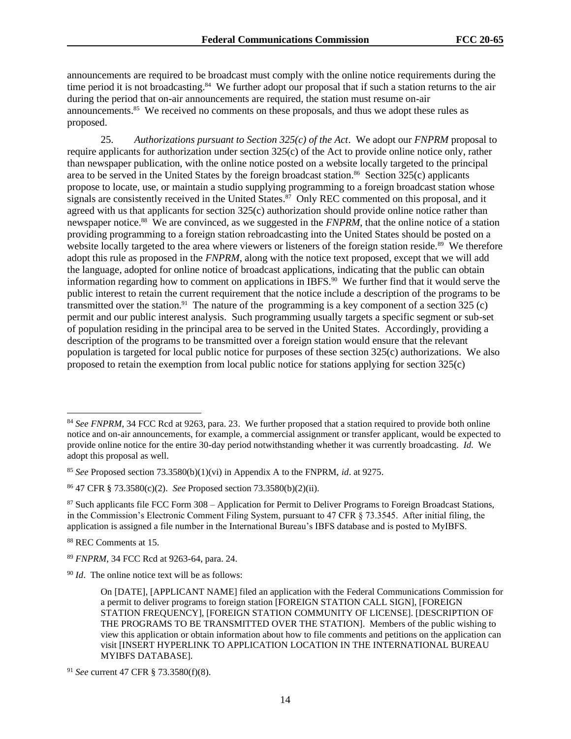announcements are required to be broadcast must comply with the online notice requirements during the time period it is not broadcasting.<sup>84</sup> We further adopt our proposal that if such a station returns to the air during the period that on-air announcements are required, the station must resume on-air announcements.<sup>85</sup> We received no comments on these proposals, and thus we adopt these rules as proposed.

25. *Authorizations pursuant to Section 325(c) of the Act*. We adopt our *FNPRM* proposal to require applicants for authorization under section 325(c) of the Act to provide online notice only, rather than newspaper publication, with the online notice posted on a website locally targeted to the principal area to be served in the United States by the foreign broadcast station.<sup>86</sup> Section 325(c) applicants propose to locate, use, or maintain a studio supplying programming to a foreign broadcast station whose signals are consistently received in the United States. <sup>87</sup> Only REC commented on this proposal, and it agreed with us that applicants for section 325(c) authorization should provide online notice rather than newspaper notice.<sup>88</sup> We are convinced, as we suggested in the *FNPRM*, that the online notice of a station providing programming to a foreign station rebroadcasting into the United States should be posted on a website locally targeted to the area where viewers or listeners of the foreign station reside.<sup>89</sup> We therefore adopt this rule as proposed in the *FNPRM*, along with the notice text proposed, except that we will add the language, adopted for online notice of broadcast applications, indicating that the public can obtain information regarding how to comment on applications in IBFS.<sup>90</sup> We further find that it would serve the public interest to retain the current requirement that the notice include a description of the programs to be transmitted over the station.<sup>91</sup> The nature of the programming is a key component of a section  $325$  (c) permit and our public interest analysis. Such programming usually targets a specific segment or sub-set of population residing in the principal area to be served in the United States. Accordingly, providing a description of the programs to be transmitted over a foreign station would ensure that the relevant population is targeted for local public notice for purposes of these section 325(c) authorizations. We also proposed to retain the exemption from local public notice for stations applying for section 325(c)

<sup>&</sup>lt;sup>84</sup> See FNPRM, 34 FCC Rcd at 9263, para. 23. We further proposed that a station required to provide both online notice and on-air announcements, for example, a commercial assignment or transfer applicant, would be expected to provide online notice for the entire 30-day period notwithstanding whether it was currently broadcasting. *Id*. We adopt this proposal as well.

<sup>85</sup> *See* Proposed section 73.3580(b)(1)(vi) in Appendix A to the FNPRM, *id*. at 9275.

<sup>86</sup> 47 CFR § 73.3580(c)(2). *See* Proposed section 73.3580(b)(2)(ii).

<sup>87</sup> Such applicants file FCC Form 308 – Application for Permit to Deliver Programs to Foreign Broadcast Stations, in the Commission's Electronic Comment Filing System, pursuant to 47 CFR § 73.3545. After initial filing, the application is assigned a file number in the International Bureau's IBFS database and is posted to MyIBFS.

<sup>88</sup> REC Comments at 15.

<sup>89</sup> *FNPRM*, 34 FCC Rcd at 9263-64, para. 24.

<sup>90</sup> *Id*. The online notice text will be as follows:

On [DATE], [APPLICANT NAME] filed an application with the Federal Communications Commission for a permit to deliver programs to foreign station [FOREIGN STATION CALL SIGN], [FOREIGN STATION FREQUENCY], [FOREIGN STATION COMMUNITY OF LICENSE]. [DESCRIPTION OF THE PROGRAMS TO BE TRANSMITTED OVER THE STATION]. Members of the public wishing to view this application or obtain information about how to file comments and petitions on the application can visit [INSERT HYPERLINK TO APPLICATION LOCATION IN THE INTERNATIONAL BUREAU MYIBFS DATABASE].

<sup>91</sup> *See* current 47 CFR § 73.3580(f)(8).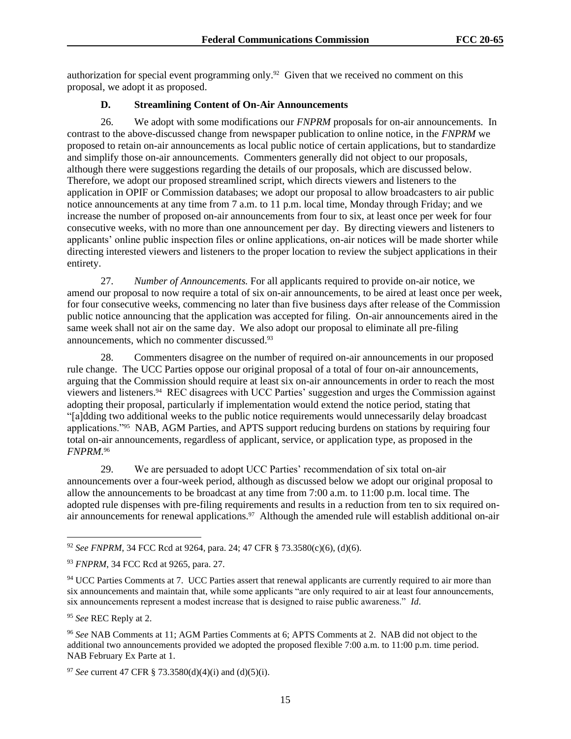authorization for special event programming only.<sup>92</sup> Given that we received no comment on this proposal, we adopt it as proposed.

## **D. Streamlining Content of On-Air Announcements**

26. We adopt with some modifications our *FNPRM* proposals for on-air announcements. In contrast to the above-discussed change from newspaper publication to online notice, in the *FNPRM* we proposed to retain on-air announcements as local public notice of certain applications, but to standardize and simplify those on-air announcements. Commenters generally did not object to our proposals, although there were suggestions regarding the details of our proposals, which are discussed below. Therefore, we adopt our proposed streamlined script, which directs viewers and listeners to the application in OPIF or Commission databases; we adopt our proposal to allow broadcasters to air public notice announcements at any time from 7 a.m. to 11 p.m. local time, Monday through Friday; and we increase the number of proposed on-air announcements from four to six, at least once per week for four consecutive weeks, with no more than one announcement per day. By directing viewers and listeners to applicants' online public inspection files or online applications, on-air notices will be made shorter while directing interested viewers and listeners to the proper location to review the subject applications in their entirety.

27. *Number of Announcements.* For all applicants required to provide on-air notice, we amend our proposal to now require a total of six on-air announcements, to be aired at least once per week, for four consecutive weeks, commencing no later than five business days after release of the Commission public notice announcing that the application was accepted for filing. On-air announcements aired in the same week shall not air on the same day. We also adopt our proposal to eliminate all pre-filing announcements, which no commenter discussed.<sup>93</sup>

28. Commenters disagree on the number of required on-air announcements in our proposed rule change. The UCC Parties oppose our original proposal of a total of four on-air announcements, arguing that the Commission should require at least six on-air announcements in order to reach the most viewers and listeners.<sup>94</sup> REC disagrees with UCC Parties' suggestion and urges the Commission against adopting their proposal, particularly if implementation would extend the notice period, stating that "[a]dding two additional weeks to the public notice requirements would unnecessarily delay broadcast applications."<sup>95</sup> NAB, AGM Parties, and APTS support reducing burdens on stations by requiring four total on-air announcements, regardless of applicant, service, or application type, as proposed in the *FNPRM.*<sup>96</sup>

29. We are persuaded to adopt UCC Parties' recommendation of six total on-air announcements over a four-week period, although as discussed below we adopt our original proposal to allow the announcements to be broadcast at any time from 7:00 a.m. to 11:00 p.m. local time. The adopted rule dispenses with pre-filing requirements and results in a reduction from ten to six required onair announcements for renewal applications.<sup>97</sup> Although the amended rule will establish additional on-air

<sup>92</sup> *See FNPRM*, 34 FCC Rcd at 9264, para. 24; 47 CFR § 73.3580(c)(6), (d)(6).

<sup>93</sup> *FNPRM*, 34 FCC Rcd at 9265, para. 27.

<sup>&</sup>lt;sup>94</sup> UCC Parties Comments at 7. UCC Parties assert that renewal applicants are currently required to air more than six announcements and maintain that, while some applicants "are only required to air at least four announcements, six announcements represent a modest increase that is designed to raise public awareness." *Id*.

<sup>95</sup> *See* REC Reply at 2.

<sup>96</sup> *See* NAB Comments at 11; AGM Parties Comments at 6; APTS Comments at 2. NAB did not object to the additional two announcements provided we adopted the proposed flexible 7:00 a.m. to 11:00 p.m. time period. NAB February Ex Parte at 1.

<sup>97</sup> *See* current 47 CFR § 73.3580(d)(4)(i) and (d)(5)(i).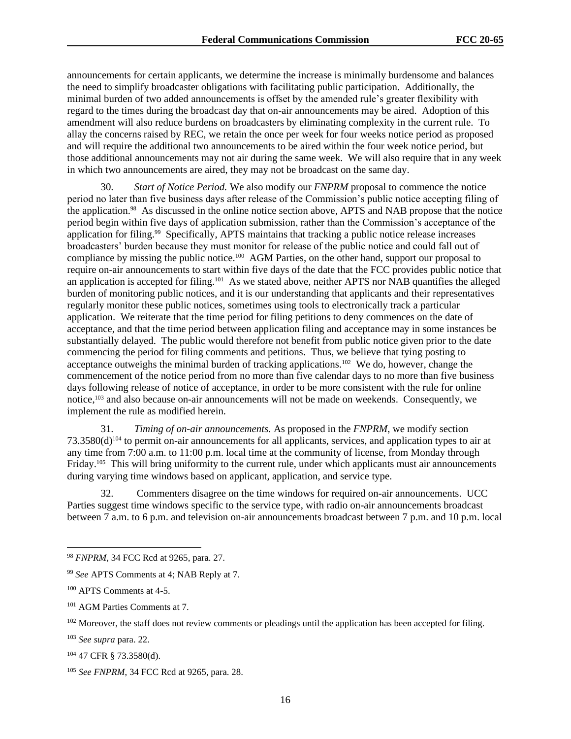announcements for certain applicants, we determine the increase is minimally burdensome and balances the need to simplify broadcaster obligations with facilitating public participation. Additionally, the minimal burden of two added announcements is offset by the amended rule's greater flexibility with regard to the times during the broadcast day that on-air announcements may be aired. Adoption of this amendment will also reduce burdens on broadcasters by eliminating complexity in the current rule. To allay the concerns raised by REC, we retain the once per week for four weeks notice period as proposed and will require the additional two announcements to be aired within the four week notice period, but those additional announcements may not air during the same week. We will also require that in any week in which two announcements are aired, they may not be broadcast on the same day.

30. *Start of Notice Period.* We also modify our *FNPRM* proposal to commence the notice period no later than five business days after release of the Commission's public notice accepting filing of the application.<sup>98</sup> As discussed in the online notice section above, APTS and NAB propose that the notice period begin within five days of application submission, rather than the Commission's acceptance of the application for filing.<sup>99</sup> Specifically, APTS maintains that tracking a public notice release increases broadcasters' burden because they must monitor for release of the public notice and could fall out of compliance by missing the public notice.<sup>100</sup> AGM Parties, on the other hand, support our proposal to require on-air announcements to start within five days of the date that the FCC provides public notice that an application is accepted for filing.<sup>101</sup> As we stated above, neither APTS nor NAB quantifies the alleged burden of monitoring public notices, and it is our understanding that applicants and their representatives regularly monitor these public notices, sometimes using tools to electronically track a particular application. We reiterate that the time period for filing petitions to deny commences on the date of acceptance, and that the time period between application filing and acceptance may in some instances be substantially delayed. The public would therefore not benefit from public notice given prior to the date commencing the period for filing comments and petitions. Thus, we believe that tying posting to acceptance outweighs the minimal burden of tracking applications.<sup>102</sup> We do, however, change the commencement of the notice period from no more than five calendar days to no more than five business days following release of notice of acceptance, in order to be more consistent with the rule for online notice,<sup>103</sup> and also because on-air announcements will not be made on weekends. Consequently, we implement the rule as modified herein.

31. *Timing of on-air announcements.* As proposed in the *FNPRM*, we modify section  $73.3580(d)^{104}$  to permit on-air announcements for all applicants, services, and application types to air at any time from 7:00 a.m. to 11:00 p.m. local time at the community of license, from Monday through Friday.<sup>105</sup> This will bring uniformity to the current rule, under which applicants must air announcements during varying time windows based on applicant, application, and service type.

32. Commenters disagree on the time windows for required on-air announcements. UCC Parties suggest time windows specific to the service type, with radio on-air announcements broadcast between 7 a.m. to 6 p.m. and television on-air announcements broadcast between 7 p.m. and 10 p.m. local

<sup>98</sup> *FNPRM*, 34 FCC Rcd at 9265, para. 27.

<sup>99</sup> *See* APTS Comments at 4; NAB Reply at 7.

<sup>100</sup> APTS Comments at 4-5.

<sup>101</sup> AGM Parties Comments at 7.

<sup>&</sup>lt;sup>102</sup> Moreover, the staff does not review comments or pleadings until the application has been accepted for filing.

<sup>103</sup> *See supra* para. 22.

<sup>104</sup> 47 CFR § 73.3580(d).

<sup>105</sup> *See FNPRM*, 34 FCC Rcd at 9265, para. 28.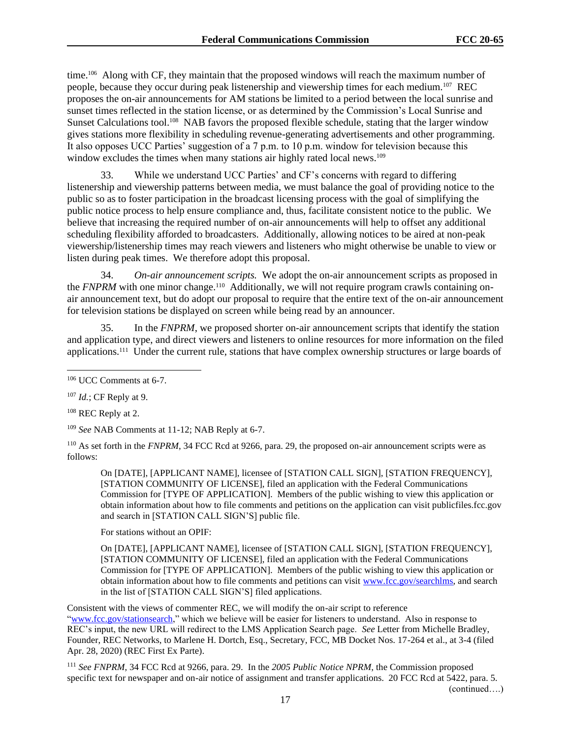time.<sup>106</sup> Along with CF, they maintain that the proposed windows will reach the maximum number of people, because they occur during peak listenership and viewership times for each medium.<sup>107</sup> REC proposes the on-air announcements for AM stations be limited to a period between the local sunrise and sunset times reflected in the station license, or as determined by the Commission's Local Sunrise and Sunset Calculations tool.<sup>108</sup> NAB favors the proposed flexible schedule, stating that the larger window gives stations more flexibility in scheduling revenue-generating advertisements and other programming. It also opposes UCC Parties' suggestion of a 7 p.m. to 10 p.m. window for television because this window excludes the times when many stations air highly rated local news.<sup>109</sup>

33. While we understand UCC Parties' and CF's concerns with regard to differing listenership and viewership patterns between media, we must balance the goal of providing notice to the public so as to foster participation in the broadcast licensing process with the goal of simplifying the public notice process to help ensure compliance and, thus, facilitate consistent notice to the public. We believe that increasing the required number of on-air announcements will help to offset any additional scheduling flexibility afforded to broadcasters. Additionally, allowing notices to be aired at non-peak viewership/listenership times may reach viewers and listeners who might otherwise be unable to view or listen during peak times. We therefore adopt this proposal.

34. *On-air announcement scripts.* We adopt the on-air announcement scripts as proposed in the *FNPRM* with one minor change.<sup>110</sup> Additionally, we will not require program crawls containing onair announcement text, but do adopt our proposal to require that the entire text of the on-air announcement for television stations be displayed on screen while being read by an announcer.

35. In the *FNPRM*, we proposed shorter on-air announcement scripts that identify the station and application type, and direct viewers and listeners to online resources for more information on the filed applications.<sup>111</sup> Under the current rule, stations that have complex ownership structures or large boards of

<sup>108</sup> REC Reply at 2.

<sup>109</sup> *See* NAB Comments at 11-12; NAB Reply at 6-7.

<sup>110</sup> As set forth in the *FNPRM*, 34 FCC Rcd at 9266, para. 29, the proposed on-air announcement scripts were as follows:

On [DATE], [APPLICANT NAME], licensee of [STATION CALL SIGN], [STATION FREQUENCY], [STATION COMMUNITY OF LICENSE], filed an application with the Federal Communications Commission for [TYPE OF APPLICATION]. Members of the public wishing to view this application or obtain information about how to file comments and petitions on the application can visit publicfiles.fcc.gov and search in [STATION CALL SIGN'S] public file.

For stations without an OPIF:

On [DATE], [APPLICANT NAME], licensee of [STATION CALL SIGN], [STATION FREQUENCY], [STATION COMMUNITY OF LICENSE], filed an application with the Federal Communications Commission for [TYPE OF APPLICATION]. Members of the public wishing to view this application or obtain information about how to file comments and petitions can visit www.fcc.gov/searchlms, and search in the list of [STATION CALL SIGN'S] filed applications.

Consistent with the views of commenter REC, we will modify the on-air script to reference "www.fcc.gov/stationsearch," which we believe will be easier for listeners to understand. Also in response to REC's input, the new URL will redirect to the LMS Application Search page. *See* Letter from Michelle Bradley, Founder, REC Networks, to Marlene H. Dortch, Esq., Secretary, FCC, MB Docket Nos. 17-264 et al., at 3-4 (filed Apr. 28, 2020) (REC First Ex Parte).

<sup>111</sup> *See FNPRM*, 34 FCC Rcd at 9266, para. 29. In the *2005 Public Notice NPRM*, the Commission proposed specific text for newspaper and on-air notice of assignment and transfer applications. 20 FCC Rcd at 5422, para. 5.

(continued….)

<sup>106</sup> UCC Comments at 6-7.

<sup>107</sup> *Id.*; CF Reply at 9.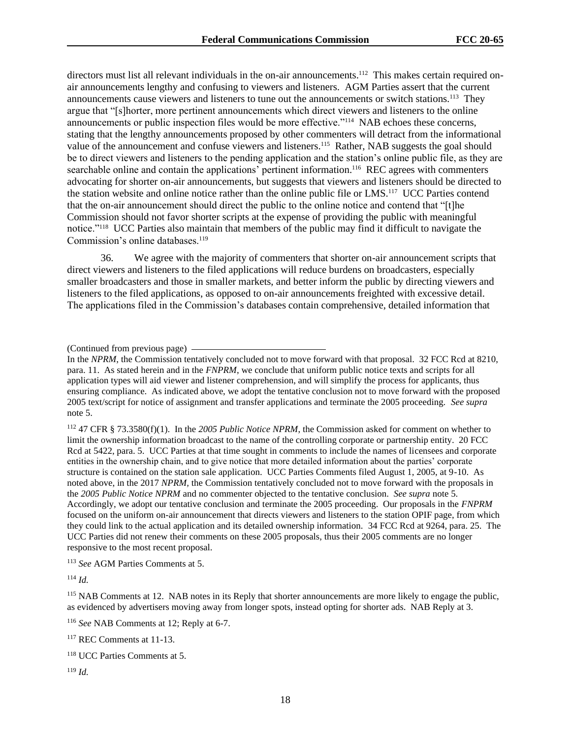directors must list all relevant individuals in the on-air announcements.<sup>112</sup> This makes certain required onair announcements lengthy and confusing to viewers and listeners. AGM Parties assert that the current announcements cause viewers and listeners to tune out the announcements or switch stations.<sup>113</sup> They argue that "[s]horter, more pertinent announcements which direct viewers and listeners to the online announcements or public inspection files would be more effective."<sup>114</sup> NAB echoes these concerns, stating that the lengthy announcements proposed by other commenters will detract from the informational value of the announcement and confuse viewers and listeners.<sup>115</sup> Rather, NAB suggests the goal should be to direct viewers and listeners to the pending application and the station's online public file, as they are searchable online and contain the applications' pertinent information.<sup>116</sup> REC agrees with commenters advocating for shorter on-air announcements, but suggests that viewers and listeners should be directed to the station website and online notice rather than the online public file or LMS.<sup>117</sup> UCC Parties contend that the on-air announcement should direct the public to the online notice and contend that "[t]he Commission should not favor shorter scripts at the expense of providing the public with meaningful notice."<sup>118</sup> UCC Parties also maintain that members of the public may find it difficult to navigate the Commission's online databases.<sup>119</sup>

36. We agree with the majority of commenters that shorter on-air announcement scripts that direct viewers and listeners to the filed applications will reduce burdens on broadcasters, especially smaller broadcasters and those in smaller markets, and better inform the public by directing viewers and listeners to the filed applications, as opposed to on-air announcements freighted with excessive detail. The applications filed in the Commission's databases contain comprehensive, detailed information that

(Continued from previous page)

In the *NPRM*, the Commission tentatively concluded not to move forward with that proposal. 32 FCC Rcd at 8210, para. 11. As stated herein and in the *FNPRM*, we conclude that uniform public notice texts and scripts for all application types will aid viewer and listener comprehension, and will simplify the process for applicants, thus ensuring compliance. As indicated above, we adopt the tentative conclusion not to move forward with the proposed 2005 text/script for notice of assignment and transfer applications and terminate the 2005 proceeding. *See supra*  note 5.

<sup>112</sup> 47 CFR § 73.3580(f)(1). In the *2005 Public Notice NPRM*, the Commission asked for comment on whether to limit the ownership information broadcast to the name of the controlling corporate or partnership entity. 20 FCC Rcd at 5422, para. 5. UCC Parties at that time sought in comments to include the names of licensees and corporate entities in the ownership chain, and to give notice that more detailed information about the parties' corporate structure is contained on the station sale application. UCC Parties Comments filed August 1, 2005, at 9-10. As noted above, in the 2017 *NPRM,* the Commission tentatively concluded not to move forward with the proposals in the *2005 Public Notice NPRM* and no commenter objected to the tentative conclusion. *See supra* note 5. Accordingly, we adopt our tentative conclusion and terminate the 2005 proceeding. Our proposals in the *FNPRM* focused on the uniform on-air announcement that directs viewers and listeners to the station OPIF page, from which they could link to the actual application and its detailed ownership information. 34 FCC Rcd at 9264, para. 25. The UCC Parties did not renew their comments on these 2005 proposals, thus their 2005 comments are no longer responsive to the most recent proposal.

<sup>113</sup> *See* AGM Parties Comments at 5.

<sup>114</sup> *Id.* 

<sup>116</sup> *See* NAB Comments at 12; Reply at 6-7.

<sup>117</sup> REC Comments at 11-13.

<sup>119</sup> *Id.*

<sup>&</sup>lt;sup>115</sup> NAB Comments at 12. NAB notes in its Reply that shorter announcements are more likely to engage the public, as evidenced by advertisers moving away from longer spots, instead opting for shorter ads. NAB Reply at 3.

<sup>118</sup> UCC Parties Comments at 5.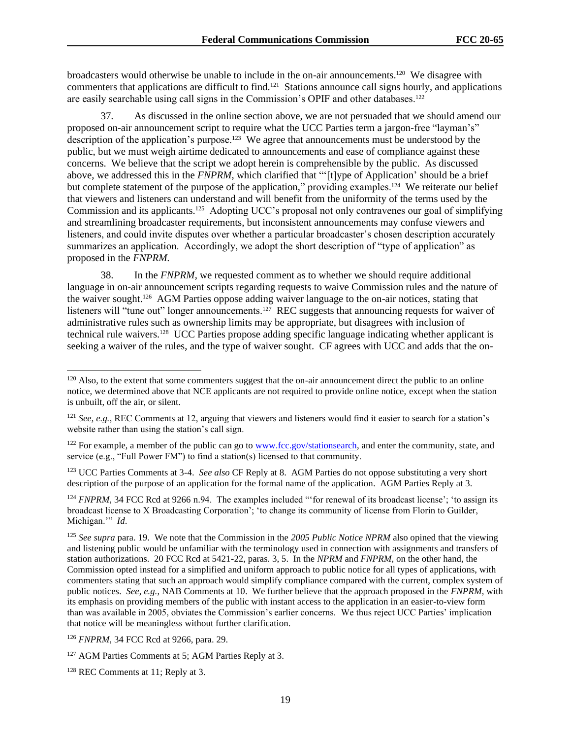broadcasters would otherwise be unable to include in the on-air announcements.<sup>120</sup> We disagree with commenters that applications are difficult to find.<sup>121</sup> Stations announce call signs hourly, and applications are easily searchable using call signs in the Commission's OPIF and other databases.<sup>122</sup>

37. As discussed in the online section above, we are not persuaded that we should amend our proposed on-air announcement script to require what the UCC Parties term a jargon-free "layman's" description of the application's purpose.<sup>123</sup> We agree that announcements must be understood by the public, but we must weigh airtime dedicated to announcements and ease of compliance against these concerns. We believe that the script we adopt herein is comprehensible by the public. As discussed above, we addressed this in the *FNPRM*, which clarified that "'[t]ype of Application' should be a brief but complete statement of the purpose of the application," providing examples.<sup>124</sup> We reiterate our belief that viewers and listeners can understand and will benefit from the uniformity of the terms used by the Commission and its applicants.<sup>125</sup> Adopting UCC's proposal not only contravenes our goal of simplifying and streamlining broadcaster requirements, but inconsistent announcements may confuse viewers and listeners, and could invite disputes over whether a particular broadcaster's chosen description accurately summarizes an application. Accordingly, we adopt the short description of "type of application" as proposed in the *FNPRM.*

38. In the *FNPRM*, we requested comment as to whether we should require additional language in on-air announcement scripts regarding requests to waive Commission rules and the nature of the waiver sought.<sup>126</sup> AGM Parties oppose adding waiver language to the on-air notices, stating that listeners will "tune out" longer announcements.<sup>127</sup> REC suggests that announcing requests for waiver of administrative rules such as ownership limits may be appropriate, but disagrees with inclusion of technical rule waivers.<sup>128</sup> UCC Parties propose adding specific language indicating whether applicant is seeking a waiver of the rules, and the type of waiver sought. CF agrees with UCC and adds that the on-

<sup>123</sup> UCC Parties Comments at 3-4. *See also* CF Reply at 8. AGM Parties do not oppose substituting a very short description of the purpose of an application for the formal name of the application. AGM Parties Reply at 3.

<sup>124</sup> *FNPRM*, 34 FCC Rcd at 9266 n.94. The examples included "for renewal of its broadcast license'; 'to assign its broadcast license to X Broadcasting Corporation'; 'to change its community of license from Florin to Guilder, Michigan.'" *Id*.

 $120$  Also, to the extent that some commenters suggest that the on-air announcement direct the public to an online notice, we determined above that NCE applicants are not required to provide online notice, except when the station is unbuilt, off the air, or silent.

<sup>121</sup> *See*, *e.g.*, REC Comments at 12, arguing that viewers and listeners would find it easier to search for a station's website rather than using the station's call sign.

 $122$  For example, a member of the public can go to www.fcc.gov/stationsearch, and enter the community, state, and service (e.g., "Full Power FM") to find a station(s) licensed to that community.

<sup>125</sup> *See supra* para. 19. We note that the Commission in the *2005 Public Notice NPRM* also opined that the viewing and listening public would be unfamiliar with the terminology used in connection with assignments and transfers of station authorizations. 20 FCC Rcd at 5421-22, paras. 3, 5. In the *NPRM* and *FNPRM*, on the other hand, the Commission opted instead for a simplified and uniform approach to public notice for all types of applications, with commenters stating that such an approach would simplify compliance compared with the current, complex system of public notices. *See*, *e.g.*, NAB Comments at 10. We further believe that the approach proposed in the *FNPRM*, with its emphasis on providing members of the public with instant access to the application in an easier-to-view form than was available in 2005, obviates the Commission's earlier concerns. We thus reject UCC Parties' implication that notice will be meaningless without further clarification.

<sup>126</sup> *FNPRM*, 34 FCC Rcd at 9266, para. 29.

<sup>&</sup>lt;sup>127</sup> AGM Parties Comments at 5; AGM Parties Reply at 3.

<sup>128</sup> REC Comments at 11; Reply at 3.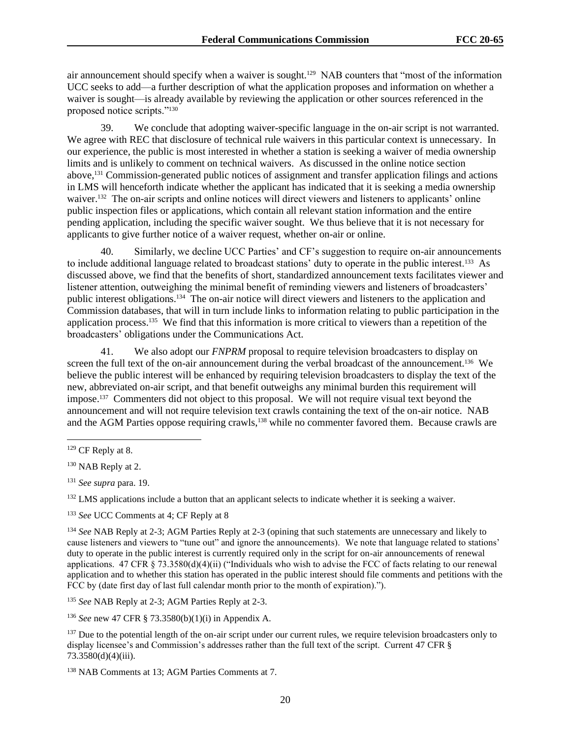air announcement should specify when a waiver is sought.<sup>129</sup> NAB counters that "most of the information UCC seeks to add—a further description of what the application proposes and information on whether a waiver is sought—is already available by reviewing the application or other sources referenced in the proposed notice scripts."<sup>130</sup>

39. We conclude that adopting waiver-specific language in the on-air script is not warranted. We agree with REC that disclosure of technical rule waivers in this particular context is unnecessary. In our experience, the public is most interested in whether a station is seeking a waiver of media ownership limits and is unlikely to comment on technical waivers. As discussed in the online notice section above,<sup>131</sup> Commission-generated public notices of assignment and transfer application filings and actions in LMS will henceforth indicate whether the applicant has indicated that it is seeking a media ownership waiver.<sup>132</sup> The on-air scripts and online notices will direct viewers and listeners to applicants' online public inspection files or applications, which contain all relevant station information and the entire pending application, including the specific waiver sought. We thus believe that it is not necessary for applicants to give further notice of a waiver request, whether on-air or online.

40. Similarly, we decline UCC Parties' and CF's suggestion to require on-air announcements to include additional language related to broadcast stations' duty to operate in the public interest.<sup>133</sup> As discussed above, we find that the benefits of short, standardized announcement texts facilitates viewer and listener attention, outweighing the minimal benefit of reminding viewers and listeners of broadcasters' public interest obligations.<sup>134</sup> The on-air notice will direct viewers and listeners to the application and Commission databases, that will in turn include links to information relating to public participation in the application process.<sup>135</sup> We find that this information is more critical to viewers than a repetition of the broadcasters' obligations under the Communications Act.

41. We also adopt our *FNPRM* proposal to require television broadcasters to display on screen the full text of the on-air announcement during the verbal broadcast of the announcement.<sup>136</sup> We believe the public interest will be enhanced by requiring television broadcasters to display the text of the new, abbreviated on-air script, and that benefit outweighs any minimal burden this requirement will impose.<sup>137</sup> Commenters did not object to this proposal. We will not require visual text beyond the announcement and will not require television text crawls containing the text of the on-air notice. NAB and the AGM Parties oppose requiring crawls,<sup>138</sup> while no commenter favored them. Because crawls are

<sup>132</sup> LMS applications include a button that an applicant selects to indicate whether it is seeking a waiver.

<sup>133</sup> *See* UCC Comments at 4; CF Reply at 8

<sup>134</sup> *See* NAB Reply at 2-3; AGM Parties Reply at 2-3 (opining that such statements are unnecessary and likely to cause listeners and viewers to "tune out" and ignore the announcements). We note that language related to stations' duty to operate in the public interest is currently required only in the script for on-air announcements of renewal applications. 47 CFR § 73.3580(d)(4)(ii) ("Individuals who wish to advise the FCC of facts relating to our renewal application and to whether this station has operated in the public interest should file comments and petitions with the FCC by (date first day of last full calendar month prior to the month of expiration).").

<sup>135</sup> *See* NAB Reply at 2-3; AGM Parties Reply at 2-3.

<sup>136</sup> *See* new 47 CFR § 73.3580(b)(1)(i) in Appendix A.

<sup>137</sup> Due to the potential length of the on-air script under our current rules, we require television broadcasters only to display licensee's and Commission's addresses rather than the full text of the script. Current 47 CFR § 73.3580(d)(4)(iii).

<sup>138</sup> NAB Comments at 13; AGM Parties Comments at 7.

 $129$  CF Reply at 8.

<sup>&</sup>lt;sup>130</sup> NAB Reply at 2.

<sup>131</sup> *See supra* para. 19.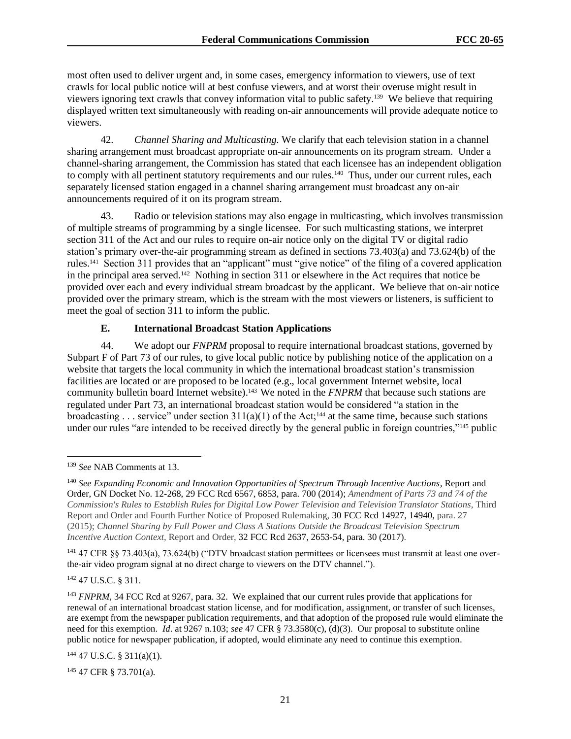most often used to deliver urgent and, in some cases, emergency information to viewers, use of text crawls for local public notice will at best confuse viewers, and at worst their overuse might result in viewers ignoring text crawls that convey information vital to public safety.<sup>139</sup> We believe that requiring displayed written text simultaneously with reading on-air announcements will provide adequate notice to viewers.

42. *Channel Sharing and Multicasting.* We clarify that each television station in a channel sharing arrangement must broadcast appropriate on-air announcements on its program stream. Under a channel-sharing arrangement, the Commission has stated that each licensee has an independent obligation to comply with all pertinent statutory requirements and our rules.<sup>140</sup> Thus, under our current rules, each separately licensed station engaged in a channel sharing arrangement must broadcast any on-air announcements required of it on its program stream.

43. Radio or television stations may also engage in multicasting, which involves transmission of multiple streams of programming by a single licensee. For such multicasting stations, we interpret section 311 of the Act and our rules to require on-air notice only on the digital TV or digital radio station's primary over-the-air programming stream as defined in sections 73.403(a) and 73.624(b) of the rules.<sup>141</sup> Section 311 provides that an "applicant" must "give notice" of the filing of a covered application in the principal area served.<sup>142</sup> Nothing in section 311 or elsewhere in the Act requires that notice be provided over each and every individual stream broadcast by the applicant. We believe that on-air notice provided over the primary stream, which is the stream with the most viewers or listeners, is sufficient to meet the goal of section 311 to inform the public.

## **E. International Broadcast Station Applications**

44. We adopt our *FNPRM* proposal to require international broadcast stations, governed by Subpart F of Part 73 of our rules, to give local public notice by publishing notice of the application on a website that targets the local community in which the international broadcast station's transmission facilities are located or are proposed to be located (e.g., local government Internet website, local community bulletin board Internet website).<sup>143</sup> We noted in the *FNPRM* that because such stations are regulated under Part 73, an international broadcast station would be considered "a station in the broadcasting . . . service" under section  $311(a)(1)$  of the Act;<sup>144</sup> at the same time, because such stations under our rules "are intended to be received directly by the general public in foreign countries,"<sup>145</sup> public

<sup>141</sup> 47 CFR §§ 73.403(a), 73.624(b) ("DTV broadcast station permittees or licensees must transmit at least one overthe-air video program signal at no direct charge to viewers on the DTV channel.").

<sup>142</sup> 47 U.S.C. § 311.

 $144$  47 U.S.C. § 311(a)(1).

<sup>145</sup> 47 CFR § 73.701(a).

<sup>139</sup> *See* NAB Comments at 13.

<sup>140</sup> *See Expanding Economic and Innovation Opportunities of Spectrum Through Incentive Auctions*, Report and Order, GN Docket No. 12-268, 29 FCC Rcd 6567, 6853, para. 700 (2014); *Amendment of Parts 73 and 74 of the Commission's Rules to Establish Rules for Digital Low Power Television and Television Translator Stations*, Third Report and Order and Fourth Further Notice of Proposed Rulemaking, 30 FCC Rcd 14927, 14940, para. 27 (2015); *Channel Sharing by Full Power and Class A Stations Outside the Broadcast Television Spectrum Incentive Auction Context*, Report and Order, 32 FCC Rcd 2637, 2653-54, para. 30 (2017).

<sup>143</sup> *FNPRM*, 34 FCC Rcd at 9267, para. 32. We explained that our current rules provide that applications for renewal of an international broadcast station license, and for modification, assignment, or transfer of such licenses, are exempt from the newspaper publication requirements, and that adoption of the proposed rule would eliminate the need for this exemption. *Id*. at 9267 n.103; *see* 47 CFR § 73.3580(c), (d)(3). Our proposal to substitute online public notice for newspaper publication, if adopted, would eliminate any need to continue this exemption.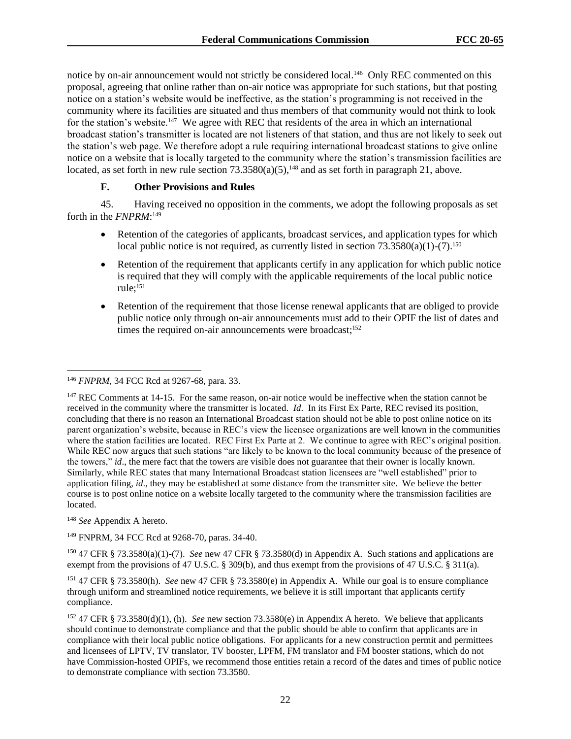notice by on-air announcement would not strictly be considered local.<sup>146</sup> Only REC commented on this proposal, agreeing that online rather than on-air notice was appropriate for such stations, but that posting notice on a station's website would be ineffective, as the station's programming is not received in the community where its facilities are situated and thus members of that community would not think to look for the station's website.<sup>147</sup> We agree with REC that residents of the area in which an international broadcast station's transmitter is located are not listeners of that station, and thus are not likely to seek out the station's web page. We therefore adopt a rule requiring international broadcast stations to give online notice on a website that is locally targeted to the community where the station's transmission facilities are located, as set forth in new rule section  $73.3580(a)(5)$ ,<sup>148</sup> and as set forth in paragraph 21, above.

## **F. Other Provisions and Rules**

45. Having received no opposition in the comments, we adopt the following proposals as set forth in the *FNPRM*: 149

- Retention of the categories of applicants, broadcast services, and application types for which local public notice is not required, as currently listed in section  $73.3580(a)(1)-(7)$ .<sup>150</sup>
- Retention of the requirement that applicants certify in any application for which public notice is required that they will comply with the applicable requirements of the local public notice rule; 151
- Retention of the requirement that those license renewal applicants that are obliged to provide public notice only through on-air announcements must add to their OPIF the list of dates and times the required on-air announcements were broadcast;<sup>152</sup>

<sup>148</sup> *See* Appendix A hereto.

<sup>149</sup> FNPRM, 34 FCC Rcd at 9268-70, paras. 34-40.

<sup>150</sup> 47 CFR § 73.3580(a)(1)-(7). *See* new 47 CFR § 73.3580(d) in Appendix A. Such stations and applications are exempt from the provisions of 47 U.S.C. § 309(b), and thus exempt from the provisions of 47 U.S.C. § 311(a).

<sup>151</sup> 47 CFR § 73.3580(h). *See* new 47 CFR § 73.3580(e) in Appendix A. While our goal is to ensure compliance through uniform and streamlined notice requirements, we believe it is still important that applicants certify compliance.

<sup>152</sup> 47 CFR § 73.3580(d)(1), (h). *See* new section 73.3580(e) in Appendix A hereto. We believe that applicants should continue to demonstrate compliance and that the public should be able to confirm that applicants are in compliance with their local public notice obligations. For applicants for a new construction permit and permittees and licensees of LPTV, TV translator, TV booster, LPFM, FM translator and FM booster stations, which do not have Commission-hosted OPIFs, we recommend those entities retain a record of the dates and times of public notice to demonstrate compliance with section 73.3580.

<sup>146</sup> *FNPRM*, 34 FCC Rcd at 9267-68, para. 33.

<sup>&</sup>lt;sup>147</sup> REC Comments at 14-15. For the same reason, on-air notice would be ineffective when the station cannot be received in the community where the transmitter is located. *Id*. In its First Ex Parte, REC revised its position, concluding that there is no reason an International Broadcast station should not be able to post online notice on its parent organization's website, because in REC's view the licensee organizations are well known in the communities where the station facilities are located. REC First Ex Parte at 2. We continue to agree with REC's original position. While REC now argues that such stations "are likely to be known to the local community because of the presence of the towers," *id*., the mere fact that the towers are visible does not guarantee that their owner is locally known. Similarly, while REC states that many International Broadcast station licensees are "well established" prior to application filing, *id*., they may be established at some distance from the transmitter site. We believe the better course is to post online notice on a website locally targeted to the community where the transmission facilities are located.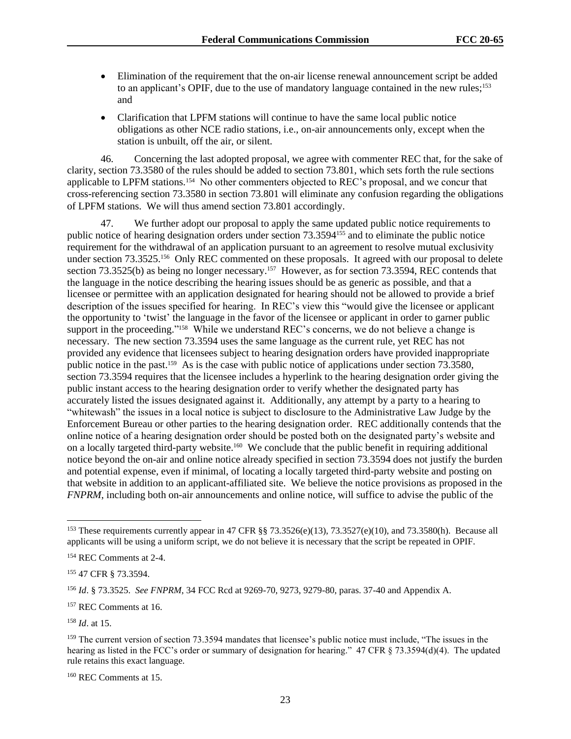- Elimination of the requirement that the on-air license renewal announcement script be added to an applicant's OPIF, due to the use of mandatory language contained in the new rules;<sup>153</sup> and
- Clarification that LPFM stations will continue to have the same local public notice obligations as other NCE radio stations, i.e., on-air announcements only, except when the station is unbuilt, off the air, or silent.

46. Concerning the last adopted proposal, we agree with commenter REC that, for the sake of clarity, section 73.3580 of the rules should be added to section 73.801, which sets forth the rule sections applicable to LPFM stations.<sup>154</sup> No other commenters objected to REC's proposal, and we concur that cross-referencing section 73.3580 in section 73.801 will eliminate any confusion regarding the obligations of LPFM stations. We will thus amend section 73.801 accordingly.

47. We further adopt our proposal to apply the same updated public notice requirements to public notice of hearing designation orders under section 73.3594<sup>155</sup> and to eliminate the public notice requirement for the withdrawal of an application pursuant to an agreement to resolve mutual exclusivity under section 73.3525.<sup>156</sup> Only REC commented on these proposals. It agreed with our proposal to delete section 73.3525(b) as being no longer necessary.<sup>157</sup> However, as for section 73.3594, REC contends that the language in the notice describing the hearing issues should be as generic as possible, and that a licensee or permittee with an application designated for hearing should not be allowed to provide a brief description of the issues specified for hearing. In REC's view this "would give the licensee or applicant the opportunity to 'twist' the language in the favor of the licensee or applicant in order to garner public support in the proceeding."<sup>158</sup> While we understand REC's concerns, we do not believe a change is necessary. The new section 73.3594 uses the same language as the current rule, yet REC has not provided any evidence that licensees subject to hearing designation orders have provided inappropriate public notice in the past.<sup>159</sup> As is the case with public notice of applications under section 73.3580, section 73.3594 requires that the licensee includes a hyperlink to the hearing designation order giving the public instant access to the hearing designation order to verify whether the designated party has accurately listed the issues designated against it. Additionally, any attempt by a party to a hearing to "whitewash" the issues in a local notice is subject to disclosure to the Administrative Law Judge by the Enforcement Bureau or other parties to the hearing designation order. REC additionally contends that the online notice of a hearing designation order should be posted both on the designated party's website and on a locally targeted third-party website.<sup>160</sup> We conclude that the public benefit in requiring additional notice beyond the on-air and online notice already specified in section 73.3594 does not justify the burden and potential expense, even if minimal, of locating a locally targeted third-party website and posting on that website in addition to an applicant-affiliated site. We believe the notice provisions as proposed in the *FNPRM*, including both on-air announcements and online notice, will suffice to advise the public of the

<sup>&</sup>lt;sup>153</sup> These requirements currently appear in 47 CFR §§ 73.3526(e)(13), 73.3527(e)(10), and 73.3580(h). Because all applicants will be using a uniform script, we do not believe it is necessary that the script be repeated in OPIF.

<sup>154</sup> REC Comments at 2-4.

<sup>155</sup> 47 CFR § 73.3594.

<sup>156</sup> *Id*. § 73.3525. *See FNPRM*, 34 FCC Rcd at 9269-70, 9273, 9279-80, paras. 37-40 and Appendix A.

<sup>157</sup> REC Comments at 16.

<sup>158</sup> *Id*. at 15.

<sup>&</sup>lt;sup>159</sup> The current version of section 73.3594 mandates that licensee's public notice must include, "The issues in the hearing as listed in the FCC's order or summary of designation for hearing." 47 CFR § 73.3594(d)(4). The updated rule retains this exact language.

<sup>160</sup> REC Comments at 15.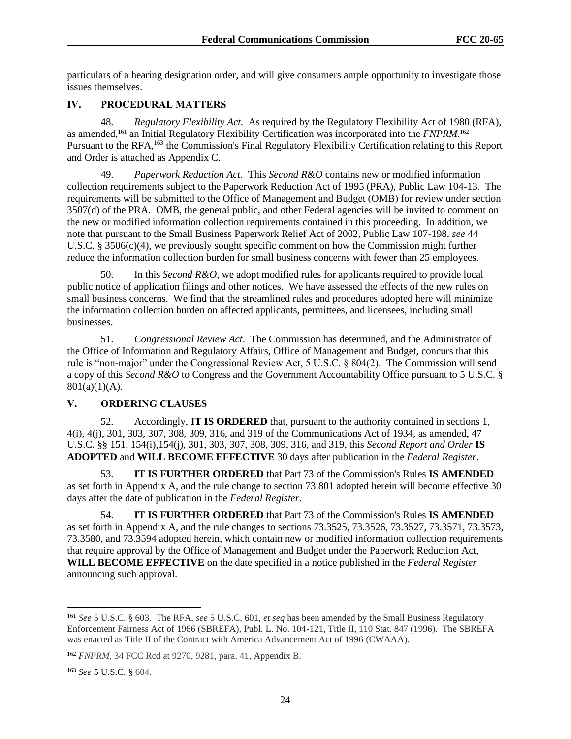particulars of a hearing designation order, and will give consumers ample opportunity to investigate those issues themselves.

## **IV. PROCEDURAL MATTERS**

48. *Regulatory Flexibility Act.* As required by the Regulatory Flexibility Act of 1980 (RFA), as amended,<sup>161</sup> an Initial Regulatory Flexibility Certification was incorporated into the *FNPRM*.<sup>162</sup> Pursuant to the RFA,<sup>163</sup> the Commission's Final Regulatory Flexibility Certification relating to this Report and Order is attached as Appendix C.

49. *Paperwork Reduction Act*. This *Second R&O* contains new or modified information collection requirements subject to the Paperwork Reduction Act of 1995 (PRA), Public Law 104-13. The requirements will be submitted to the Office of Management and Budget (OMB) for review under section 3507(d) of the PRA. OMB, the general public, and other Federal agencies will be invited to comment on the new or modified information collection requirements contained in this proceeding. In addition, we note that pursuant to the Small Business Paperwork Relief Act of 2002, Public Law 107-198, *see* 44 U.S.C. § 3506(c)(4), we previously sought specific comment on how the Commission might further reduce the information collection burden for small business concerns with fewer than 25 employees.

50. In this *Second R&O*, we adopt modified rules for applicants required to provide local public notice of application filings and other notices. We have assessed the effects of the new rules on small business concerns. We find that the streamlined rules and procedures adopted here will minimize the information collection burden on affected applicants, permittees, and licensees, including small businesses.

51. *Congressional Review Act*. The Commission has determined, and the Administrator of the Office of Information and Regulatory Affairs, Office of Management and Budget, concurs that this rule is "non-major" under the Congressional Review Act, 5 U.S.C. § 804(2). The Commission will send a copy of this *Second R&O* to Congress and the Government Accountability Office pursuant to 5 U.S.C. §  $801(a)(1)(A)$ .

## **V. ORDERING CLAUSES**

52. Accordingly, **IT IS ORDERED** that, pursuant to the authority contained in sections 1, 4(i), 4(j), 301, 303, 307, 308, 309, 316, and 319 of the Communications Act of 1934, as amended, 47 U.S.C. §§ 151, 154(i),154(j), 301, 303, 307, 308, 309, 316, and 319, this *Second Report and Order* **IS ADOPTED** and **WILL BECOME EFFECTIVE** 30 days after publication in the *Federal Register*.

53. **IT IS FURTHER ORDERED** that Part 73 of the Commission's Rules **IS AMENDED** as set forth in Appendix A, and the rule change to section 73.801 adopted herein will become effective 30 days after the date of publication in the *Federal Register*.

54. **IT IS FURTHER ORDERED** that Part 73 of the Commission's Rules **IS AMENDED** as set forth in Appendix A, and the rule changes to sections 73.3525, 73.3526, 73.3527, 73.3571, 73.3573, 73.3580, and 73.3594 adopted herein, which contain new or modified information collection requirements that require approval by the Office of Management and Budget under the Paperwork Reduction Act, **WILL BECOME EFFECTIVE** on the date specified in a notice published in the *Federal Register* announcing such approval.

<sup>161</sup> *See* 5 U.S.C. § 603. The RFA, *see* 5 U.S.C. 601, *et seq* has been amended by the Small Business Regulatory Enforcement Fairness Act of 1966 (SBREFA), Publ. L. No. 104-121, Title II, 110 Stat. 847 (1996). The SBREFA was enacted as Title II of the Contract with America Advancement Act of 1996 (CWAAA).

<sup>162</sup> *FNPRM*, 34 FCC Rcd at 9270, 9281, para. 41, Appendix B.

<sup>163</sup> *See* 5 U.S.C. § 604.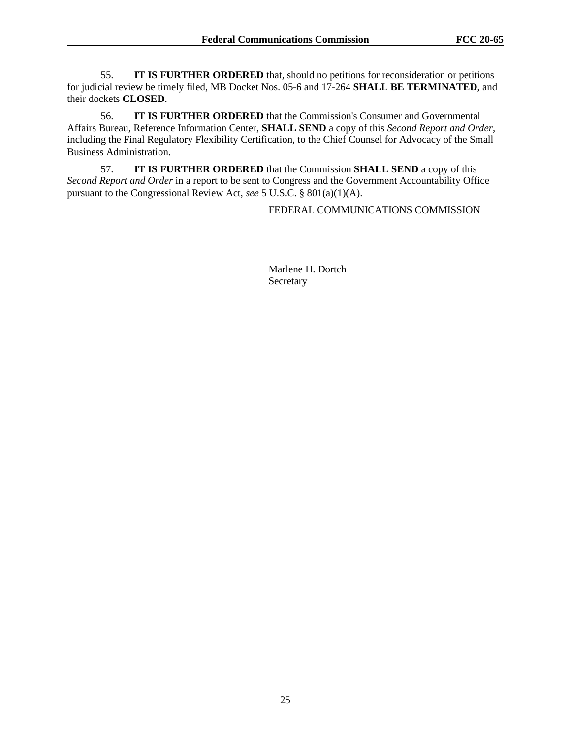55. **IT IS FURTHER ORDERED** that, should no petitions for reconsideration or petitions for judicial review be timely filed, MB Docket Nos. 05-6 and 17-264 **SHALL BE TERMINATED**, and their dockets **CLOSED**.

56. **IT IS FURTHER ORDERED** that the Commission's Consumer and Governmental Affairs Bureau, Reference Information Center, **SHALL SEND** a copy of this *Second Report and Order*, including the Final Regulatory Flexibility Certification, to the Chief Counsel for Advocacy of the Small Business Administration.

57. **IT IS FURTHER ORDERED** that the Commission **SHALL SEND** a copy of this *Second Report and Order* in a report to be sent to Congress and the Government Accountability Office pursuant to the Congressional Review Act, *see* 5 U.S.C. § 801(a)(1)(A).

### FEDERAL COMMUNICATIONS COMMISSION

Marlene H. Dortch Secretary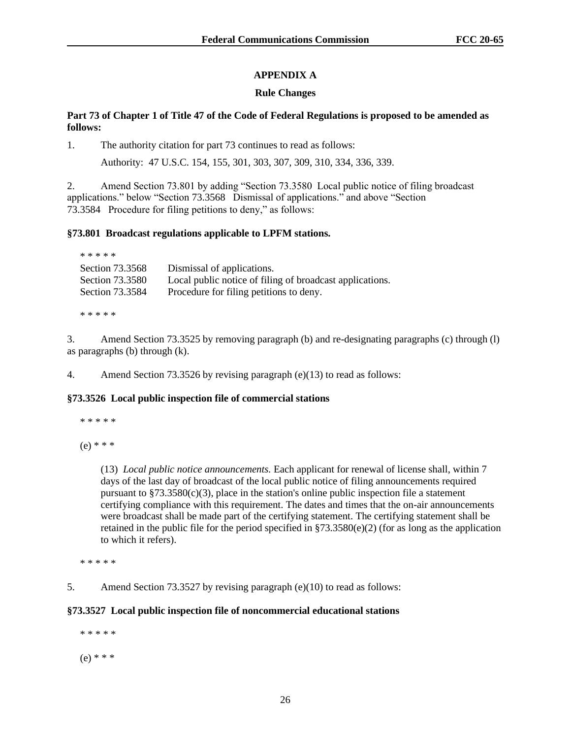# **APPENDIX A**

## **Rule Changes**

## **Part 73 of Chapter 1 of Title 47 of the Code of Federal Regulations is proposed to be amended as follows:**

1. The authority citation for part 73 continues to read as follows:

Authority: 47 U.S.C. 154, 155, 301, 303, 307, 309, 310, 334, 336, 339.

2. Amend Section 73.801 by adding "Section 73.3580 Local public notice of filing broadcast applications." below "Section 73.3568 Dismissal of applications." and above "Section 73.3584 Procedure for filing petitions to deny," as follows:

## **§73.801 Broadcast regulations applicable to LPFM stations.**

| * * * * *       |                                                          |
|-----------------|----------------------------------------------------------|
| Section 73.3568 | Dismissal of applications.                               |
| Section 73.3580 | Local public notice of filing of broadcast applications. |
| Section 73.3584 | Procedure for filing petitions to deny.                  |
|                 |                                                          |

\* \* \* \* \*

3. Amend Section 73.3525 by removing paragraph (b) and re-designating paragraphs (c) through (l) as paragraphs (b) through (k).

4. Amend Section 73.3526 by revising paragraph (e)(13) to read as follows:

## **§73.3526 Local public inspection file of commercial stations**

\* \* \* \* \*

(e) \* \* \*

(13) *Local public notice announcements.* Each applicant for renewal of license shall, within 7 days of the last day of broadcast of the local public notice of filing announcements required pursuant to  $\S 73.3580(c)(3)$ , place in the station's online public inspection file a statement certifying compliance with this requirement. The dates and times that the on-air announcements were broadcast shall be made part of the certifying statement. The certifying statement shall be retained in the public file for the period specified in §73.3580(e)(2) (for as long as the application to which it refers).

\* \* \* \* \*

5. Amend Section 73.3527 by revising paragraph (e)(10) to read as follows:

# **§73.3527 Local public inspection file of noncommercial educational stations**

 \* \* \* \* \* (e) \* \* \*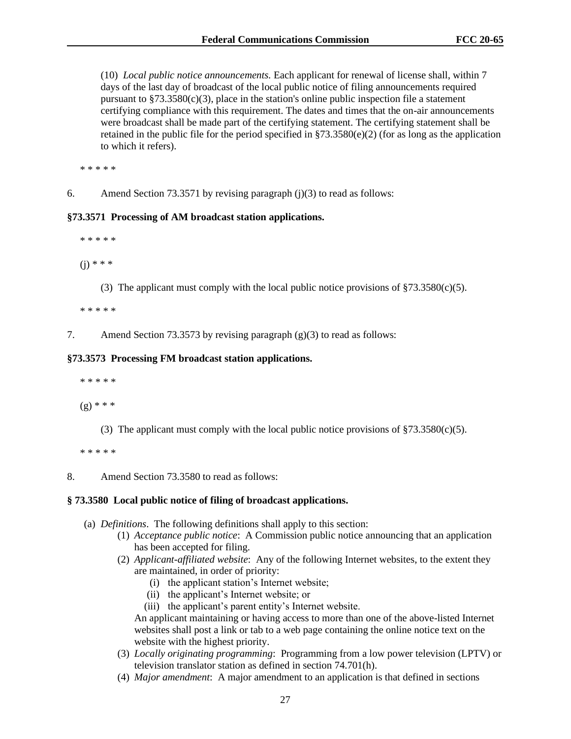(10) *Local public notice announcements.* Each applicant for renewal of license shall, within 7 days of the last day of broadcast of the local public notice of filing announcements required pursuant to  $\S 73.3580(c)(3)$ , place in the station's online public inspection file a statement certifying compliance with this requirement. The dates and times that the on-air announcements were broadcast shall be made part of the certifying statement. The certifying statement shall be retained in the public file for the period specified in  $\S$ 73.3580(e)(2) (for as long as the application to which it refers).

\* \* \* \* \*

6. Amend Section 73.3571 by revising paragraph (j)(3) to read as follows:

#### **§73.3571 Processing of AM broadcast station applications.**

\* \* \* \* \*

 $(i) * * *$ 

(3) The applicant must comply with the local public notice provisions of  $$73.3580(c)(5)$ .

\* \* \* \* \*

7. Amend Section 73.3573 by revising paragraph (g)(3) to read as follows:

#### **§73.3573 Processing FM broadcast station applications.**

\* \* \* \* \*

(g) \* \* \*

(3) The applicant must comply with the local public notice provisions of  $\S 73.3580(c)(5)$ .

\* \* \* \* \*

8. Amend Section 73.3580 to read as follows:

#### **§ 73.3580 Local public notice of filing of broadcast applications.**

- (a) *Definitions*. The following definitions shall apply to this section:
	- (1) *Acceptance public notice*: A Commission public notice announcing that an application has been accepted for filing.
	- (2) *Applicant-affiliated website*: Any of the following Internet websites, to the extent they are maintained, in order of priority:
		- (i) the applicant station's Internet website;
		- (ii) the applicant's Internet website; or
		- (iii) the applicant's parent entity's Internet website.

An applicant maintaining or having access to more than one of the above-listed Internet websites shall post a link or tab to a web page containing the online notice text on the website with the highest priority.

- (3) *Locally originating programming*: Programming from a low power television (LPTV) or television translator station as defined in section 74.701(h).
- (4) *Major amendment*: A major amendment to an application is that defined in sections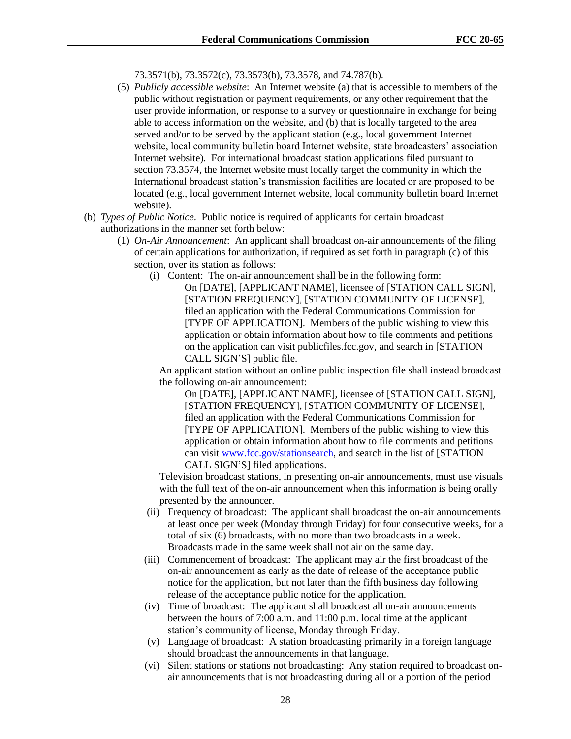73.3571(b), 73.3572(c), 73.3573(b), 73.3578, and 74.787(b).

- (5) *Publicly accessible website*: An Internet website (a) that is accessible to members of the public without registration or payment requirements, or any other requirement that the user provide information, or response to a survey or questionnaire in exchange for being able to access information on the website, and (b) that is locally targeted to the area served and/or to be served by the applicant station (e.g., local government Internet website, local community bulletin board Internet website, state broadcasters' association Internet website). For international broadcast station applications filed pursuant to section 73.3574, the Internet website must locally target the community in which the International broadcast station's transmission facilities are located or are proposed to be located (e.g., local government Internet website, local community bulletin board Internet website).
- (b) *Types of Public Notice*. Public notice is required of applicants for certain broadcast authorizations in the manner set forth below:
	- (1) *On-Air Announcement*: An applicant shall broadcast on-air announcements of the filing of certain applications for authorization, if required as set forth in paragraph (c) of this section, over its station as follows:
		- (i) Content: The on-air announcement shall be in the following form:
			- On [DATE], [APPLICANT NAME], licensee of [STATION CALL SIGN], [STATION FREQUENCY], [STATION COMMUNITY OF LICENSE], filed an application with the Federal Communications Commission for [TYPE OF APPLICATION]. Members of the public wishing to view this application or obtain information about how to file comments and petitions on the application can visit publicfiles.fcc.gov, and search in [STATION CALL SIGN'S] public file.

An applicant station without an online public inspection file shall instead broadcast the following on-air announcement:

On [DATE], [APPLICANT NAME], licensee of [STATION CALL SIGN], [STATION FREQUENCY], [STATION COMMUNITY OF LICENSE], filed an application with the Federal Communications Commission for [TYPE OF APPLICATION]. Members of the public wishing to view this application or obtain information about how to file comments and petitions can visit www.fcc.gov/stationsearch, and search in the list of [STATION CALL SIGN'S] filed applications.

Television broadcast stations, in presenting on-air announcements, must use visuals with the full text of the on-air announcement when this information is being orally presented by the announcer.

- (ii) Frequency of broadcast: The applicant shall broadcast the on-air announcements at least once per week (Monday through Friday) for four consecutive weeks, for a total of six (6) broadcasts, with no more than two broadcasts in a week. Broadcasts made in the same week shall not air on the same day.
- (iii) Commencement of broadcast: The applicant may air the first broadcast of the on-air announcement as early as the date of release of the acceptance public notice for the application, but not later than the fifth business day following release of the acceptance public notice for the application.
- (iv) Time of broadcast: The applicant shall broadcast all on-air announcements between the hours of 7:00 a.m. and 11:00 p.m. local time at the applicant station's community of license, Monday through Friday.
- (v) Language of broadcast: A station broadcasting primarily in a foreign language should broadcast the announcements in that language.
- (vi) Silent stations or stations not broadcasting: Any station required to broadcast onair announcements that is not broadcasting during all or a portion of the period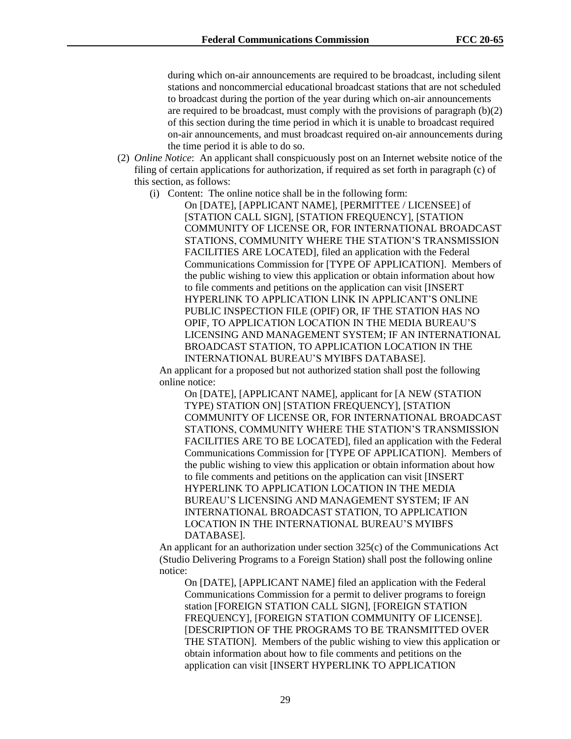during which on-air announcements are required to be broadcast, including silent stations and noncommercial educational broadcast stations that are not scheduled to broadcast during the portion of the year during which on-air announcements are required to be broadcast, must comply with the provisions of paragraph  $(b)(2)$ of this section during the time period in which it is unable to broadcast required on-air announcements, and must broadcast required on-air announcements during the time period it is able to do so.

- (2) *Online Notice*: An applicant shall conspicuously post on an Internet website notice of the filing of certain applications for authorization, if required as set forth in paragraph (c) of this section, as follows:
	- (i) Content: The online notice shall be in the following form:

On [DATE], [APPLICANT NAME], [PERMITTEE / LICENSEE] of [STATION CALL SIGN], [STATION FREQUENCY], [STATION COMMUNITY OF LICENSE OR, FOR INTERNATIONAL BROADCAST STATIONS, COMMUNITY WHERE THE STATION'S TRANSMISSION FACILITIES ARE LOCATED], filed an application with the Federal Communications Commission for [TYPE OF APPLICATION]. Members of the public wishing to view this application or obtain information about how to file comments and petitions on the application can visit [INSERT HYPERLINK TO APPLICATION LINK IN APPLICANT'S ONLINE PUBLIC INSPECTION FILE (OPIF) OR, IF THE STATION HAS NO OPIF, TO APPLICATION LOCATION IN THE MEDIA BUREAU'S LICENSING AND MANAGEMENT SYSTEM; IF AN INTERNATIONAL BROADCAST STATION, TO APPLICATION LOCATION IN THE INTERNATIONAL BUREAU'S MYIBFS DATABASE].

An applicant for a proposed but not authorized station shall post the following online notice:

On [DATE], [APPLICANT NAME], applicant for [A NEW (STATION TYPE) STATION ON] [STATION FREQUENCY], [STATION COMMUNITY OF LICENSE OR, FOR INTERNATIONAL BROADCAST STATIONS, COMMUNITY WHERE THE STATION'S TRANSMISSION FACILITIES ARE TO BE LOCATED], filed an application with the Federal Communications Commission for [TYPE OF APPLICATION]. Members of the public wishing to view this application or obtain information about how to file comments and petitions on the application can visit [INSERT HYPERLINK TO APPLICATION LOCATION IN THE MEDIA BUREAU'S LICENSING AND MANAGEMENT SYSTEM; IF AN INTERNATIONAL BROADCAST STATION, TO APPLICATION LOCATION IN THE INTERNATIONAL BUREAU'S MYIBFS DATABASE].

An applicant for an authorization under section 325(c) of the Communications Act (Studio Delivering Programs to a Foreign Station) shall post the following online notice:

On [DATE], [APPLICANT NAME] filed an application with the Federal Communications Commission for a permit to deliver programs to foreign station [FOREIGN STATION CALL SIGN], [FOREIGN STATION FREQUENCY], [FOREIGN STATION COMMUNITY OF LICENSE]. [DESCRIPTION OF THE PROGRAMS TO BE TRANSMITTED OVER THE STATION]. Members of the public wishing to view this application or obtain information about how to file comments and petitions on the application can visit [INSERT HYPERLINK TO APPLICATION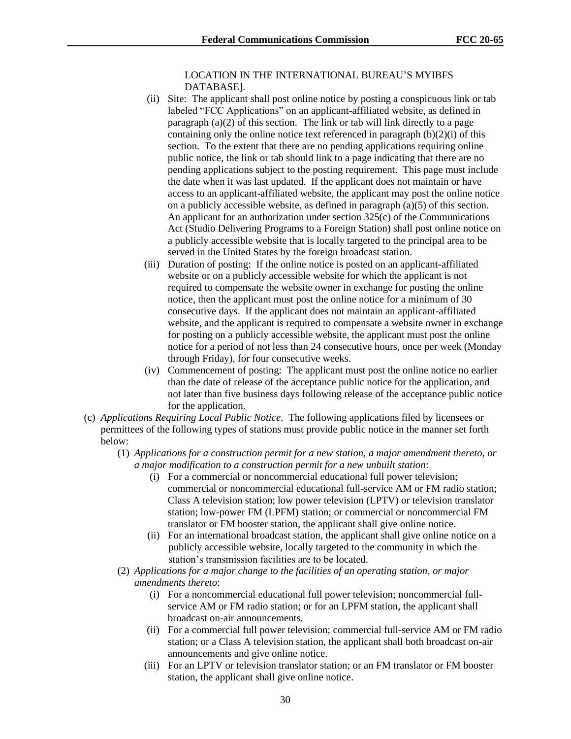LOCATION IN THE INTERNATIONAL BUREAU'S MYIBFS DATABASE].

- (ii) Site: The applicant shall post online notice by posting a conspicuous link or tab labeled "FCC Applications" on an applicant-affiliated website, as defined in paragraph (a)(2) of this section. The link or tab will link directly to a page containing only the online notice text referenced in paragraph  $(b)(2)(i)$  of this section. To the extent that there are no pending applications requiring online public notice, the link or tab should link to a page indicating that there are no pending applications subject to the posting requirement. This page must include the date when it was last updated. If the applicant does not maintain or have access to an applicant-affiliated website, the applicant may post the online notice on a publicly accessible website, as defined in paragraph (a)(5) of this section. An applicant for an authorization under section 325(c) of the Communications Act (Studio Delivering Programs to a Foreign Station) shall post online notice on a publicly accessible website that is locally targeted to the principal area to be served in the United States by the foreign broadcast station.
- (iii) Duration of posting: If the online notice is posted on an applicant-affiliated website or on a publicly accessible website for which the applicant is not required to compensate the website owner in exchange for posting the online notice, then the applicant must post the online notice for a minimum of 30 consecutive days. If the applicant does not maintain an applicant-affiliated website, and the applicant is required to compensate a website owner in exchange for posting on a publicly accessible website, the applicant must post the online notice for a period of not less than 24 consecutive hours, once per week (Monday through Friday), for four consecutive weeks.
- (iv) Commencement of posting: The applicant must post the online notice no earlier than the date of release of the acceptance public notice for the application, and not later than five business days following release of the acceptance public notice for the application.
- (c) *Applications Requiring Local Public Notice*. The following applications filed by licensees or permittees of the following types of stations must provide public notice in the manner set forth below:
	- (1) *Applications for a construction permit for a new station, a major amendment thereto, or a major modification to a construction permit for a new unbuilt station*:
		- (i) For a commercial or noncommercial educational full power television; commercial or noncommercial educational full-service AM or FM radio station; Class A television station; low power television (LPTV) or television translator station; low-power FM (LPFM) station; or commercial or noncommercial FM translator or FM booster station, the applicant shall give online notice.
		- (ii) For an international broadcast station, the applicant shall give online notice on a publicly accessible website, locally targeted to the community in which the station's transmission facilities are to be located.
	- (2) *Applications for a major change to the facilities of an operating station, or major amendments thereto*:
		- (i) For a noncommercial educational full power television; noncommercial fullservice AM or FM radio station; or for an LPFM station, the applicant shall broadcast on-air announcements.
		- (ii) For a commercial full power television; commercial full-service AM or FM radio station; or a Class A television station, the applicant shall both broadcast on-air announcements and give online notice.
		- (iii) For an LPTV or television translator station; or an FM translator or FM booster station, the applicant shall give online notice.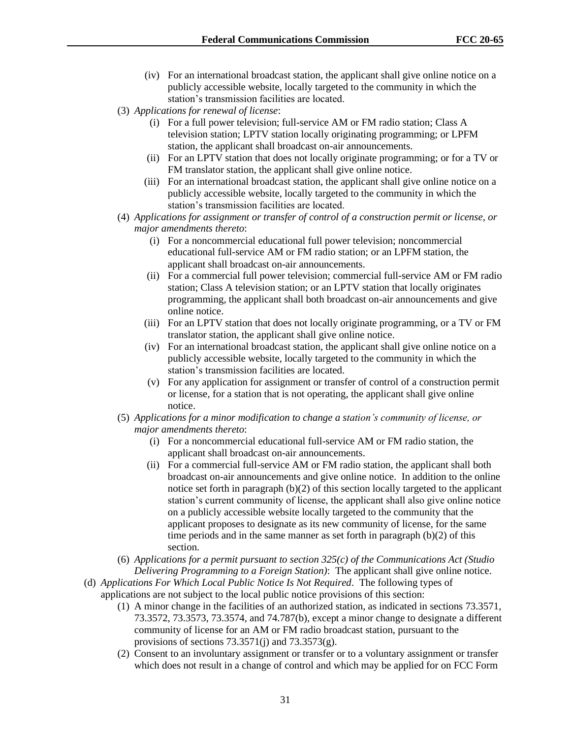- (iv) For an international broadcast station, the applicant shall give online notice on a publicly accessible website, locally targeted to the community in which the station's transmission facilities are located.
- (3) *Applications for renewal of license*:
	- (i) For a full power television; full-service AM or FM radio station; Class A television station; LPTV station locally originating programming; or LPFM station, the applicant shall broadcast on-air announcements.
	- (ii) For an LPTV station that does not locally originate programming; or for a TV or FM translator station, the applicant shall give online notice.
	- (iii) For an international broadcast station, the applicant shall give online notice on a publicly accessible website, locally targeted to the community in which the station's transmission facilities are located.
- (4) *Applications for assignment or transfer of control of a construction permit or license, or major amendments thereto*:
	- (i) For a noncommercial educational full power television; noncommercial educational full-service AM or FM radio station; or an LPFM station, the applicant shall broadcast on-air announcements.
	- (ii) For a commercial full power television; commercial full-service AM or FM radio station; Class A television station; or an LPTV station that locally originates programming, the applicant shall both broadcast on-air announcements and give online notice.
	- (iii) For an LPTV station that does not locally originate programming, or a TV or FM translator station, the applicant shall give online notice.
	- (iv) For an international broadcast station, the applicant shall give online notice on a publicly accessible website, locally targeted to the community in which the station's transmission facilities are located.
	- (v) For any application for assignment or transfer of control of a construction permit or license, for a station that is not operating, the applicant shall give online notice.
- (5) *Applications for a minor modification to change a station's community of license, or major amendments thereto*:
	- (i) For a noncommercial educational full-service AM or FM radio station, the applicant shall broadcast on-air announcements.
	- (ii) For a commercial full-service AM or FM radio station, the applicant shall both broadcast on-air announcements and give online notice. In addition to the online notice set forth in paragraph (b)(2) of this section locally targeted to the applicant station's current community of license, the applicant shall also give online notice on a publicly accessible website locally targeted to the community that the applicant proposes to designate as its new community of license, for the same time periods and in the same manner as set forth in paragraph (b)(2) of this section.
- (6) *Applications for a permit pursuant to section 325(c) of the Communications Act (Studio Delivering Programming to a Foreign Station)*: The applicant shall give online notice.
- (d) *Applications For Which Local Public Notice Is Not Required*. The following types of applications are not subject to the local public notice provisions of this section:
	- (1) A minor change in the facilities of an authorized station, as indicated in sections 73.3571, 73.3572, 73.3573, 73.3574, and 74.787(b), except a minor change to designate a different community of license for an AM or FM radio broadcast station, pursuant to the provisions of sections  $73.3571(j)$  and  $73.3573(g)$ .
	- (2) Consent to an involuntary assignment or transfer or to a voluntary assignment or transfer which does not result in a change of control and which may be applied for on FCC Form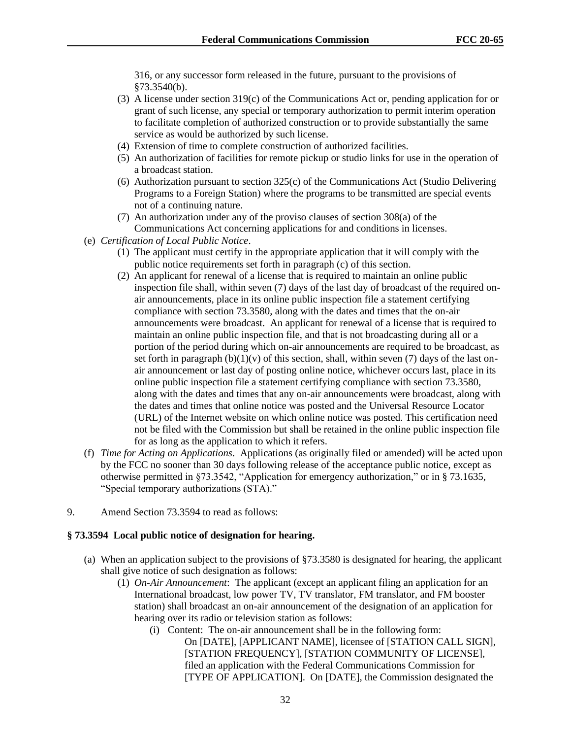316, or any successor form released in the future, pursuant to the provisions of §73.3540(b).

- (3) A license under section 319(c) of the Communications Act or, pending application for or grant of such license, any special or temporary authorization to permit interim operation to facilitate completion of authorized construction or to provide substantially the same service as would be authorized by such license.
- (4) Extension of time to complete construction of authorized facilities.
- (5) An authorization of facilities for remote pickup or studio links for use in the operation of a broadcast station.
- (6) Authorization pursuant to section 325(c) of the Communications Act (Studio Delivering Programs to a Foreign Station) where the programs to be transmitted are special events not of a continuing nature.
- (7) An authorization under any of the proviso clauses of section 308(a) of the Communications Act concerning applications for and conditions in licenses.
- (e) *Certification of Local Public Notice*.
	- (1) The applicant must certify in the appropriate application that it will comply with the public notice requirements set forth in paragraph (c) of this section.
	- (2) An applicant for renewal of a license that is required to maintain an online public inspection file shall, within seven (7) days of the last day of broadcast of the required onair announcements, place in its online public inspection file a statement certifying compliance with section 73.3580, along with the dates and times that the on-air announcements were broadcast. An applicant for renewal of a license that is required to maintain an online public inspection file, and that is not broadcasting during all or a portion of the period during which on-air announcements are required to be broadcast, as set forth in paragraph  $(b)(1)(v)$  of this section, shall, within seven (7) days of the last onair announcement or last day of posting online notice, whichever occurs last, place in its online public inspection file a statement certifying compliance with section 73.3580, along with the dates and times that any on-air announcements were broadcast, along with the dates and times that online notice was posted and the Universal Resource Locator (URL) of the Internet website on which online notice was posted. This certification need not be filed with the Commission but shall be retained in the online public inspection file for as long as the application to which it refers.
- (f) *Time for Acting on Applications*. Applications (as originally filed or amended) will be acted upon by the FCC no sooner than 30 days following release of the acceptance public notice, except as otherwise permitted in §73.3542, "Application for emergency authorization," or in § 73.1635, "Special temporary authorizations (STA)."
- 9. Amend Section 73.3594 to read as follows:

#### **§ 73.3594 Local public notice of designation for hearing.**

- (a) When an application subject to the provisions of §73.3580 is designated for hearing, the applicant shall give notice of such designation as follows:
	- (1) *On-Air Announcement*: The applicant (except an applicant filing an application for an International broadcast, low power TV, TV translator, FM translator, and FM booster station) shall broadcast an on-air announcement of the designation of an application for hearing over its radio or television station as follows:
		- (i) Content: The on-air announcement shall be in the following form: On [DATE], [APPLICANT NAME], licensee of [STATION CALL SIGN], [STATION FREQUENCY], [STATION COMMUNITY OF LICENSE], filed an application with the Federal Communications Commission for [TYPE OF APPLICATION]. On [DATE], the Commission designated the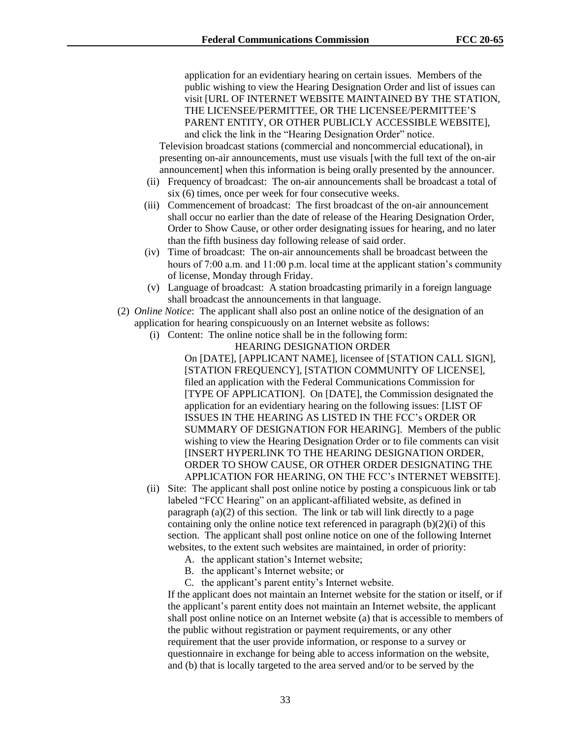application for an evidentiary hearing on certain issues. Members of the public wishing to view the Hearing Designation Order and list of issues can visit [URL OF INTERNET WEBSITE MAINTAINED BY THE STATION, THE LICENSEE/PERMITTEE, OR THE LICENSEE/PERMITTEE'S PARENT ENTITY, OR OTHER PUBLICLY ACCESSIBLE WEBSITE], and click the link in the "Hearing Designation Order" notice.

Television broadcast stations (commercial and noncommercial educational), in presenting on-air announcements, must use visuals [with the full text of the on-air announcement] when this information is being orally presented by the announcer.

- (ii) Frequency of broadcast: The on-air announcements shall be broadcast a total of six (6) times, once per week for four consecutive weeks.
- (iii) Commencement of broadcast: The first broadcast of the on-air announcement shall occur no earlier than the date of release of the Hearing Designation Order, Order to Show Cause, or other order designating issues for hearing, and no later than the fifth business day following release of said order.
- (iv) Time of broadcast: The on-air announcements shall be broadcast between the hours of 7:00 a.m. and 11:00 p.m. local time at the applicant station's community of license, Monday through Friday.
- (v) Language of broadcast: A station broadcasting primarily in a foreign language shall broadcast the announcements in that language.
- (2) *Online Notice*: The applicant shall also post an online notice of the designation of an application for hearing conspicuously on an Internet website as follows:
	- (i) Content: The online notice shall be in the following form:

HEARING DESIGNATION ORDER

On [DATE], [APPLICANT NAME], licensee of [STATION CALL SIGN], [STATION FREQUENCY], [STATION COMMUNITY OF LICENSE], filed an application with the Federal Communications Commission for [TYPE OF APPLICATION]. On [DATE], the Commission designated the application for an evidentiary hearing on the following issues: [LIST OF ISSUES IN THE HEARING AS LISTED IN THE FCC's ORDER OR SUMMARY OF DESIGNATION FOR HEARING]. Members of the public wishing to view the Hearing Designation Order or to file comments can visit [INSERT HYPERLINK TO THE HEARING DESIGNATION ORDER, ORDER TO SHOW CAUSE, OR OTHER ORDER DESIGNATING THE APPLICATION FOR HEARING, ON THE FCC's INTERNET WEBSITE].

- (ii) Site: The applicant shall post online notice by posting a conspicuous link or tab labeled "FCC Hearing" on an applicant-affiliated website, as defined in paragraph (a)(2) of this section. The link or tab will link directly to a page containing only the online notice text referenced in paragraph (b)(2)(i) of this section. The applicant shall post online notice on one of the following Internet websites, to the extent such websites are maintained, in order of priority:
	- A. the applicant station's Internet website;
	- B. the applicant's Internet website; or
	- C. the applicant's parent entity's Internet website.

If the applicant does not maintain an Internet website for the station or itself, or if the applicant's parent entity does not maintain an Internet website, the applicant shall post online notice on an Internet website (a) that is accessible to members of the public without registration or payment requirements, or any other requirement that the user provide information, or response to a survey or questionnaire in exchange for being able to access information on the website, and (b) that is locally targeted to the area served and/or to be served by the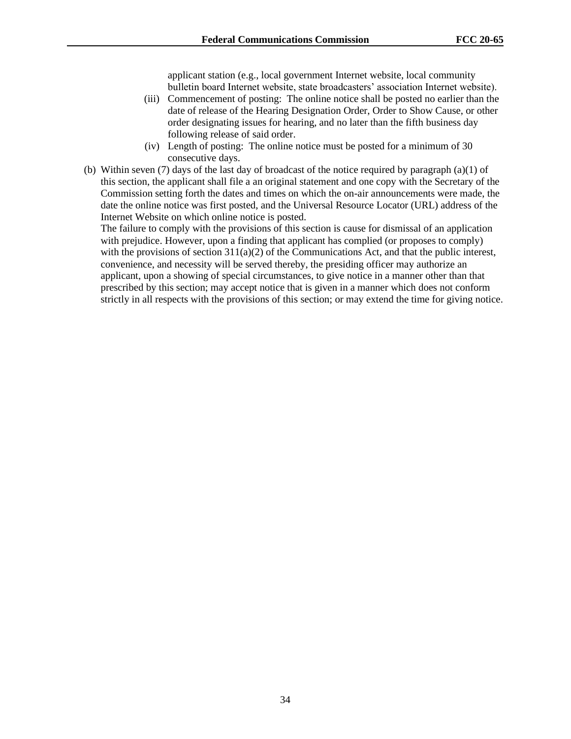applicant station (e.g., local government Internet website, local community bulletin board Internet website, state broadcasters' association Internet website).

- (iii) Commencement of posting: The online notice shall be posted no earlier than the date of release of the Hearing Designation Order, Order to Show Cause, or other order designating issues for hearing, and no later than the fifth business day following release of said order.
- (iv) Length of posting: The online notice must be posted for a minimum of 30 consecutive days.
- (b) Within seven (7) days of the last day of broadcast of the notice required by paragraph (a)(1) of this section, the applicant shall file a an original statement and one copy with the Secretary of the Commission setting forth the dates and times on which the on-air announcements were made, the date the online notice was first posted, and the Universal Resource Locator (URL) address of the Internet Website on which online notice is posted.

The failure to comply with the provisions of this section is cause for dismissal of an application with prejudice. However, upon a finding that applicant has complied (or proposes to comply) with the provisions of section  $311(a)(2)$  of the Communications Act, and that the public interest, convenience, and necessity will be served thereby, the presiding officer may authorize an applicant, upon a showing of special circumstances, to give notice in a manner other than that prescribed by this section; may accept notice that is given in a manner which does not conform strictly in all respects with the provisions of this section; or may extend the time for giving notice.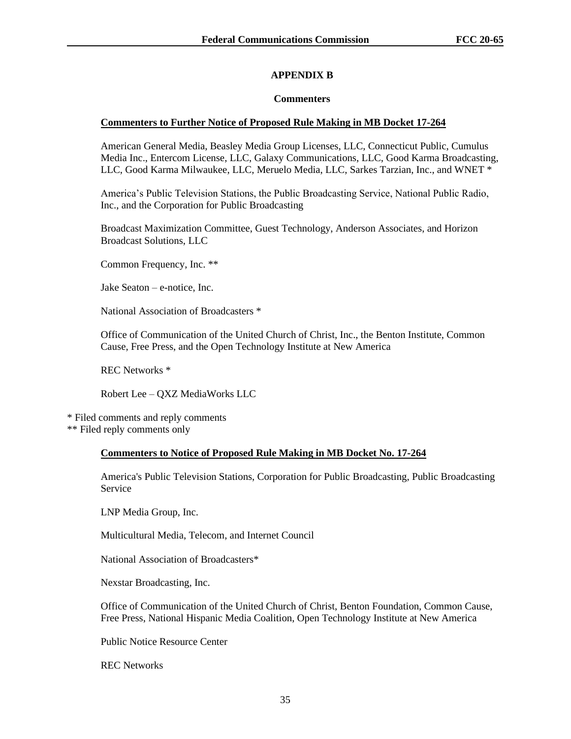# **APPENDIX B**

## **Commenters**

## **Commenters to Further Notice of Proposed Rule Making in MB Docket 17-264**

American General Media, Beasley Media Group Licenses, LLC, Connecticut Public, Cumulus Media Inc., Entercom License, LLC, Galaxy Communications, LLC, Good Karma Broadcasting, LLC, Good Karma Milwaukee, LLC, Meruelo Media, LLC, Sarkes Tarzian, Inc., and WNET \*

America's Public Television Stations, the Public Broadcasting Service, National Public Radio, Inc., and the Corporation for Public Broadcasting

Broadcast Maximization Committee, Guest Technology, Anderson Associates, and Horizon Broadcast Solutions, LLC

Common Frequency, Inc. \*\*

Jake Seaton – e-notice, Inc.

National Association of Broadcasters \*

Office of Communication of the United Church of Christ, Inc., the Benton Institute, Common Cause, Free Press, and the Open Technology Institute at New America

REC Networks \*

Robert Lee – QXZ MediaWorks LLC

\* Filed comments and reply comments \*\* Filed reply comments only

#### **Commenters to Notice of Proposed Rule Making in MB Docket No. 17-264**

America's Public Television Stations, Corporation for Public Broadcasting, Public Broadcasting Service

LNP Media Group, Inc.

Multicultural Media, Telecom, and Internet Council

National Association of Broadcasters\*

Nexstar Broadcasting, Inc.

Office of Communication of the United Church of Christ, Benton Foundation, Common Cause, Free Press, National Hispanic Media Coalition, Open Technology Institute at New America

Public Notice Resource Center

REC Networks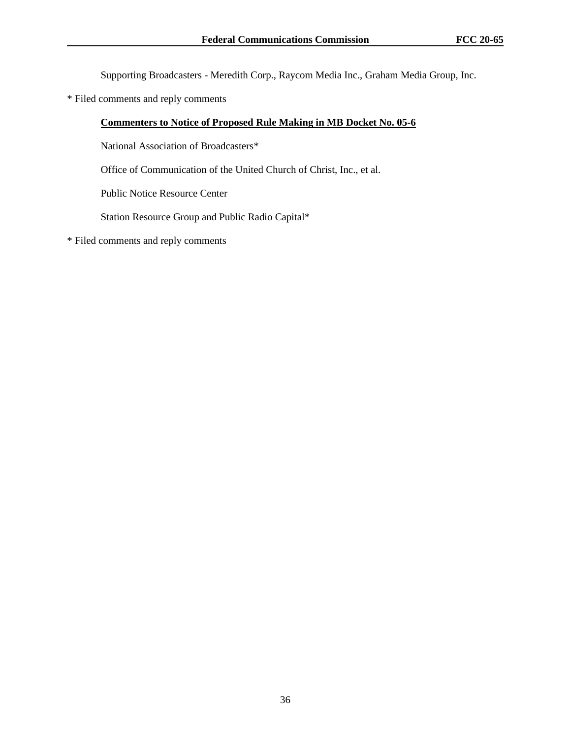Supporting Broadcasters - Meredith Corp., Raycom Media Inc., Graham Media Group, Inc.

\* Filed comments and reply comments

# **Commenters to Notice of Proposed Rule Making in MB Docket No. 05-6**

National Association of Broadcasters\*

Office of Communication of the United Church of Christ, Inc., et al.

Public Notice Resource Center

Station Resource Group and Public Radio Capital\*

\* Filed comments and reply comments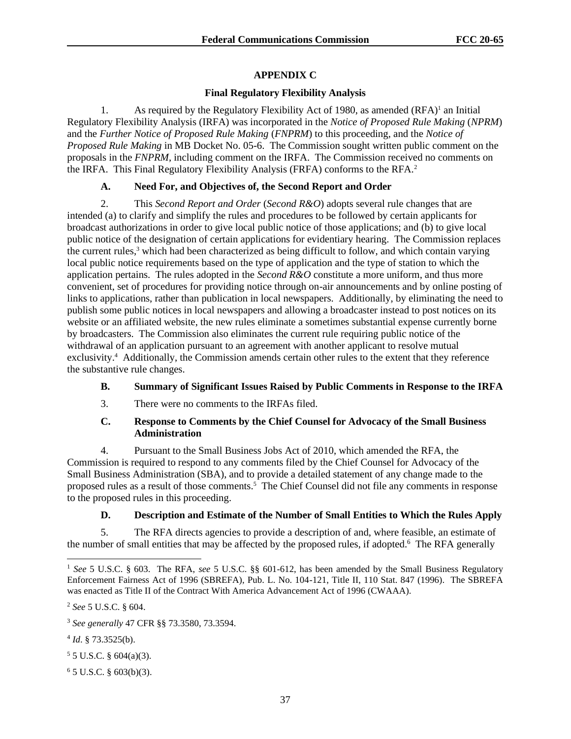# **APPENDIX C**

# **Final Regulatory Flexibility Analysis**

1. As required by the Regulatory Flexibility Act of 1980, as amended  $(RFA)^1$  an Initial Regulatory Flexibility Analysis (IRFA) was incorporated in the *Notice of Proposed Rule Making* (*NPRM*) and the *Further Notice of Proposed Rule Making* (*FNPRM*) to this proceeding, and the *Notice of Proposed Rule Making* in MB Docket No. 05-6. The Commission sought written public comment on the proposals in the *FNPRM*, including comment on the IRFA. The Commission received no comments on the IRFA. This Final Regulatory Flexibility Analysis (FRFA) conforms to the RFA.<sup>2</sup>

## **A. Need For, and Objectives of, the Second Report and Order**

2. This *Second Report and Order* (*Second R&O*) adopts several rule changes that are intended (a) to clarify and simplify the rules and procedures to be followed by certain applicants for broadcast authorizations in order to give local public notice of those applications; and (b) to give local public notice of the designation of certain applications for evidentiary hearing. The Commission replaces the current rules,<sup>3</sup> which had been characterized as being difficult to follow, and which contain varying local public notice requirements based on the type of application and the type of station to which the application pertains. The rules adopted in the *Second R&O* constitute a more uniform, and thus more convenient, set of procedures for providing notice through on-air announcements and by online posting of links to applications, rather than publication in local newspapers. Additionally, by eliminating the need to publish some public notices in local newspapers and allowing a broadcaster instead to post notices on its website or an affiliated website, the new rules eliminate a sometimes substantial expense currently borne by broadcasters. The Commission also eliminates the current rule requiring public notice of the withdrawal of an application pursuant to an agreement with another applicant to resolve mutual exclusivity.<sup>4</sup> Additionally, the Commission amends certain other rules to the extent that they reference the substantive rule changes.

# **B. Summary of Significant Issues Raised by Public Comments in Response to the IRFA**

3. There were no comments to the IRFAs filed.

## **C. Response to Comments by the Chief Counsel for Advocacy of the Small Business Administration**

4. Pursuant to the Small Business Jobs Act of 2010, which amended the RFA, the Commission is required to respond to any comments filed by the Chief Counsel for Advocacy of the Small Business Administration (SBA), and to provide a detailed statement of any change made to the proposed rules as a result of those comments.<sup>5</sup> The Chief Counsel did not file any comments in response to the proposed rules in this proceeding.

# **D. Description and Estimate of the Number of Small Entities to Which the Rules Apply**

5. The RFA directs agencies to provide a description of and, where feasible, an estimate of the number of small entities that may be affected by the proposed rules, if adopted.<sup>6</sup> The RFA generally

 $5 \text{ J.S.C. }$  § 604(a)(3).

 $65$  U.S.C. § 603(b)(3).

<sup>1</sup> *See* 5 U.S.C. § 603. The RFA, *see* 5 U.S.C. §§ 601-612, has been amended by the Small Business Regulatory Enforcement Fairness Act of 1996 (SBREFA), Pub. L. No. 104-121, Title II, 110 Stat. 847 (1996). The SBREFA was enacted as Title II of the Contract With America Advancement Act of 1996 (CWAAA).

<sup>2</sup> *See* 5 U.S.C. § 604.

<sup>3</sup> *See generally* 47 CFR §§ 73.3580, 73.3594.

<sup>4</sup> *Id*. § 73.3525(b).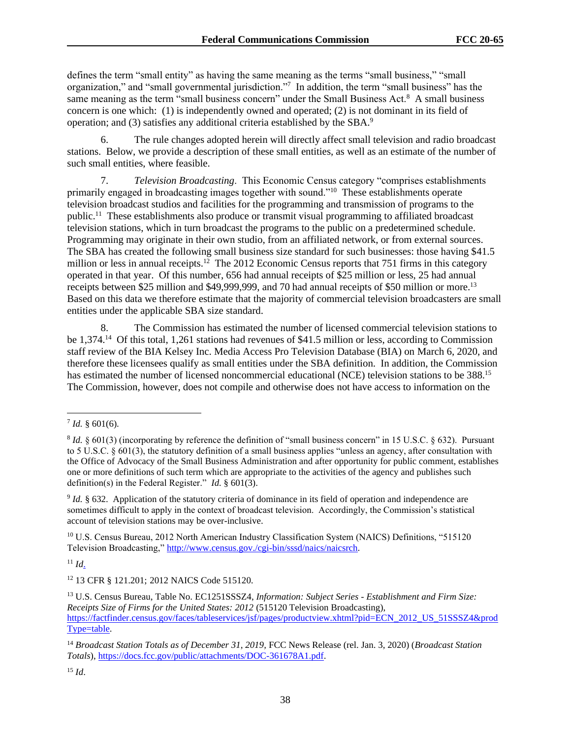defines the term "small entity" as having the same meaning as the terms "small business," "small organization," and "small governmental jurisdiction."7 In addition, the term "small business" has the same meaning as the term "small business concern" under the Small Business Act.<sup>8</sup> A small business concern is one which: (1) is independently owned and operated; (2) is not dominant in its field of operation; and (3) satisfies any additional criteria established by the SBA.<sup>9</sup>

6. The rule changes adopted herein will directly affect small television and radio broadcast stations. Below, we provide a description of these small entities, as well as an estimate of the number of such small entities, where feasible.

7. *Television Broadcasting*. This Economic Census category "comprises establishments primarily engaged in broadcasting images together with sound."<sup>10</sup> These establishments operate television broadcast studios and facilities for the programming and transmission of programs to the public.<sup>11</sup> These establishments also produce or transmit visual programming to affiliated broadcast television stations, which in turn broadcast the programs to the public on a predetermined schedule. Programming may originate in their own studio, from an affiliated network, or from external sources. The SBA has created the following small business size standard for such businesses: those having \$41.5 million or less in annual receipts.<sup>12</sup> The 2012 Economic Census reports that 751 firms in this category operated in that year. Of this number, 656 had annual receipts of \$25 million or less, 25 had annual receipts between \$25 million and \$49,999,999, and 70 had annual receipts of \$50 million or more.<sup>13</sup> Based on this data we therefore estimate that the majority of commercial television broadcasters are small entities under the applicable SBA size standard.

8. The Commission has estimated the number of licensed commercial television stations to be 1,374.<sup>14</sup> Of this total, 1,261 stations had revenues of \$41.5 million or less, according to Commission staff review of the BIA Kelsey Inc. Media Access Pro Television Database (BIA) on March 6, 2020, and therefore these licensees qualify as small entities under the SBA definition. In addition, the Commission has estimated the number of licensed noncommercial educational (NCE) television stations to be 388.<sup>15</sup> The Commission, however, does not compile and otherwise does not have access to information on the

 $11$  *Id.* 

 $^7$  *Id.* § 601(6).

 $8$  *Id.*  $\S$  601(3) (incorporating by reference the definition of "small business concern" in 15 U.S.C.  $\S$  632). Pursuant to 5 U.S.C. § 601(3), the statutory definition of a small business applies "unless an agency, after consultation with the Office of Advocacy of the Small Business Administration and after opportunity for public comment, establishes one or more definitions of such term which are appropriate to the activities of the agency and publishes such definition(s) in the Federal Register." *Id.* § 601(3).

<sup>9</sup> *Id.* § 632. Application of the statutory criteria of dominance in its field of operation and independence are sometimes difficult to apply in the context of broadcast television. Accordingly, the Commission's statistical account of television stations may be over-inclusive.

<sup>&</sup>lt;sup>10</sup> U.S. Census Bureau, 2012 North American Industry Classification System (NAICS) Definitions, "515120 Television Broadcasting," http://www.census.gov./cgi-bin/sssd/naics/naicsrch.

<sup>12</sup> 13 CFR § 121.201; 2012 NAICS Code 515120.

<sup>13</sup> U.S. Census Bureau, Table No. EC1251SSSZ4, *Information: Subject Series - Establishment and Firm Size: Receipts Size of Firms for the United States: 2012* (515120 Television Broadcasting), https://factfinder.census.gov/faces/tableservices/jsf/pages/productview.xhtml?pid=ECN\_2012\_US\_51SSSZ4&prod Type=table.

<sup>14</sup> *Broadcast Station Totals as of December 31, 2019,* FCC News Release (rel. Jan. 3, 2020) (*Broadcast Station Totals*), https://docs.fcc.gov/public/attachments/DOC-361678A1.pdf.

<sup>15</sup> *Id*.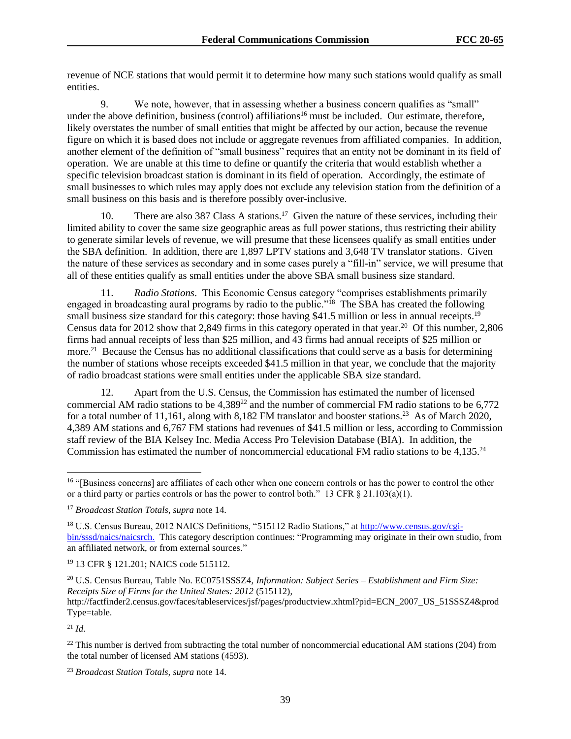revenue of NCE stations that would permit it to determine how many such stations would qualify as small entities.

9. We note, however, that in assessing whether a business concern qualifies as "small" under the above definition, business (control) affiliations<sup>16</sup> must be included. Our estimate, therefore, likely overstates the number of small entities that might be affected by our action, because the revenue figure on which it is based does not include or aggregate revenues from affiliated companies. In addition, another element of the definition of "small business" requires that an entity not be dominant in its field of operation. We are unable at this time to define or quantify the criteria that would establish whether a specific television broadcast station is dominant in its field of operation. Accordingly, the estimate of small businesses to which rules may apply does not exclude any television station from the definition of a small business on this basis and is therefore possibly over-inclusive.

10. There are also 387 Class A stations.<sup>17</sup> Given the nature of these services, including their limited ability to cover the same size geographic areas as full power stations, thus restricting their ability to generate similar levels of revenue, we will presume that these licensees qualify as small entities under the SBA definition. In addition, there are 1,897 LPTV stations and 3,648 TV translator stations. Given the nature of these services as secondary and in some cases purely a "fill-in" service, we will presume that all of these entities qualify as small entities under the above SBA small business size standard.

11. *Radio Stations*. This Economic Census category "comprises establishments primarily engaged in broadcasting aural programs by radio to the public."<sup>18</sup> The SBA has created the following small business size standard for this category: those having \$41.5 million or less in annual receipts.<sup>19</sup> Census data for 2012 show that 2,849 firms in this category operated in that year.<sup>20</sup> Of this number, 2,806 firms had annual receipts of less than \$25 million, and 43 firms had annual receipts of \$25 million or more.<sup>21</sup> Because the Census has no additional classifications that could serve as a basis for determining the number of stations whose receipts exceeded \$41.5 million in that year, we conclude that the majority of radio broadcast stations were small entities under the applicable SBA size standard.

12. Apart from the U.S. Census, the Commission has estimated the number of licensed commercial AM radio stations to be  $4,389^{22}$  and the number of commercial FM radio stations to be 6,772 for a total number of 11,161, along with 8,182 FM translator and booster stations.<sup>23</sup> As of March 2020, 4,389 AM stations and 6,767 FM stations had revenues of \$41.5 million or less, according to Commission staff review of the BIA Kelsey Inc. Media Access Pro Television Database (BIA). In addition, the Commission has estimated the number of noncommercial educational FM radio stations to be 4,135.<sup>24</sup>

<sup>19</sup> 13 CFR § 121.201; NAICS code 515112.

 $^{21}$  *Id.* 

 $^{22}$  This number is derived from subtracting the total number of noncommercial educational AM stations (204) from the total number of licensed AM stations (4593).

<sup>23</sup> *Broadcast Station Totals, supra* note 14.

<sup>&</sup>lt;sup>16</sup> "[Business concerns] are affiliates of each other when one concern controls or has the power to control the other or a third party or parties controls or has the power to control both." 13 CFR  $\S 21.103(a)(1)$ .

<sup>17</sup> *Broadcast Station Totals, supra* note 14.

<sup>18</sup> U.S. Census Bureau, 2012 NAICS Definitions, "515112 Radio Stations," at http://www.census.gov/cgibin/sssd/naics/naicsrch. This category description continues: "Programming may originate in their own studio, from an affiliated network, or from external sources."

<sup>20</sup> U.S. Census Bureau, Table No. EC0751SSSZ4, *Information: Subject Series – Establishment and Firm Size: Receipts Size of Firms for the United States: 2012* (515112),

http://factfinder2.census.gov/faces/tableservices/jsf/pages/productview.xhtml?pid=ECN\_2007\_US\_51SSSZ4&prod Type=table.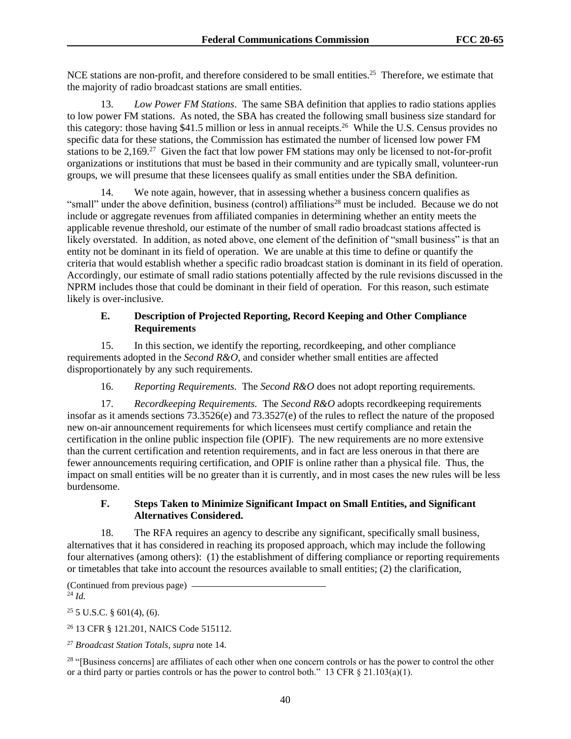NCE stations are non-profit, and therefore considered to be small entities.<sup>25</sup> Therefore, we estimate that the majority of radio broadcast stations are small entities.

13. *Low Power FM Stations*. The same SBA definition that applies to radio stations applies to low power FM stations. As noted, the SBA has created the following small business size standard for this category: those having \$41.5 million or less in annual receipts.<sup>26</sup> While the U.S. Census provides no specific data for these stations, the Commission has estimated the number of licensed low power FM stations to be  $2,169.^{27}$  Given the fact that low power FM stations may only be licensed to not-for-profit organizations or institutions that must be based in their community and are typically small, volunteer-run groups, we will presume that these licensees qualify as small entities under the SBA definition.

14. We note again, however, that in assessing whether a business concern qualifies as "small" under the above definition, business (control) affiliations<sup>28</sup> must be included. Because we do not include or aggregate revenues from affiliated companies in determining whether an entity meets the applicable revenue threshold, our estimate of the number of small radio broadcast stations affected is likely overstated. In addition, as noted above, one element of the definition of "small business" is that an entity not be dominant in its field of operation. We are unable at this time to define or quantify the criteria that would establish whether a specific radio broadcast station is dominant in its field of operation. Accordingly, our estimate of small radio stations potentially affected by the rule revisions discussed in the NPRM includes those that could be dominant in their field of operation. For this reason, such estimate likely is over-inclusive.

## **E. Description of Projected Reporting, Record Keeping and Other Compliance Requirements**

15. In this section, we identify the reporting, recordkeeping, and other compliance requirements adopted in the *Second R&O*, and consider whether small entities are affected disproportionately by any such requirements.

16. *Reporting Requirements.* The *Second R&O* does not adopt reporting requirements.

17. *Recordkeeping Requirements.* The *Second R&O* adopts recordkeeping requirements insofar as it amends sections 73.3526(e) and 73.3527(e) of the rules to reflect the nature of the proposed new on-air announcement requirements for which licensees must certify compliance and retain the certification in the online public inspection file (OPIF). The new requirements are no more extensive than the current certification and retention requirements, and in fact are less onerous in that there are fewer announcements requiring certification, and OPIF is online rather than a physical file. Thus, the impact on small entities will be no greater than it is currently, and in most cases the new rules will be less burdensome.

## **F. Steps Taken to Minimize Significant Impact on Small Entities, and Significant Alternatives Considered.**

18. The RFA requires an agency to describe any significant, specifically small business, alternatives that it has considered in reaching its proposed approach, which may include the following four alternatives (among others): (1) the establishment of differing compliance or reporting requirements or timetables that take into account the resources available to small entities; (2) the clarification,

(Continued from previous page)  $^{24}$  *Id.* 

 $25$  5 U.S.C. § 601(4), (6).

<sup>26</sup> 13 CFR § 121.201, NAICS Code 515112.

<sup>27</sup> *Broadcast Station Totals*, *supra* note 14.

<sup>28</sup> "[Business concerns] are affiliates of each other when one concern controls or has the power to control the other or a third party or parties controls or has the power to control both." 13 CFR  $\S$  21.103(a)(1).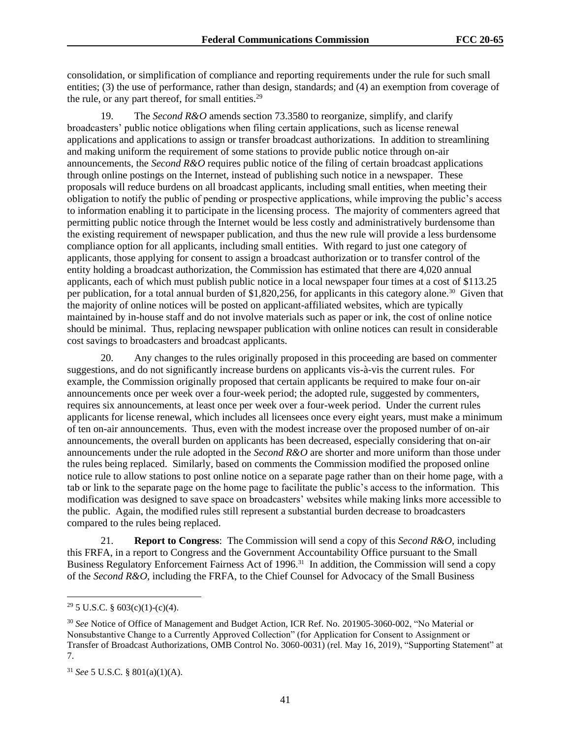consolidation, or simplification of compliance and reporting requirements under the rule for such small entities; (3) the use of performance, rather than design, standards; and (4) an exemption from coverage of the rule, or any part thereof, for small entities.<sup>29</sup>

The *Second R&O* amends section 73.3580 to reorganize, simplify, and clarify broadcasters' public notice obligations when filing certain applications, such as license renewal applications and applications to assign or transfer broadcast authorizations. In addition to streamlining and making uniform the requirement of some stations to provide public notice through on-air announcements, the *Second R&O* requires public notice of the filing of certain broadcast applications through online postings on the Internet, instead of publishing such notice in a newspaper. These proposals will reduce burdens on all broadcast applicants, including small entities, when meeting their obligation to notify the public of pending or prospective applications, while improving the public's access to information enabling it to participate in the licensing process. The majority of commenters agreed that permitting public notice through the Internet would be less costly and administratively burdensome than the existing requirement of newspaper publication, and thus the new rule will provide a less burdensome compliance option for all applicants, including small entities. With regard to just one category of applicants, those applying for consent to assign a broadcast authorization or to transfer control of the entity holding a broadcast authorization, the Commission has estimated that there are 4,020 annual applicants, each of which must publish public notice in a local newspaper four times at a cost of \$113.25 per publication, for a total annual burden of \$1,820,256, for applicants in this category alone.<sup>30</sup> Given that the majority of online notices will be posted on applicant-affiliated websites, which are typically maintained by in-house staff and do not involve materials such as paper or ink, the cost of online notice should be minimal. Thus, replacing newspaper publication with online notices can result in considerable cost savings to broadcasters and broadcast applicants.

20. Any changes to the rules originally proposed in this proceeding are based on commenter suggestions, and do not significantly increase burdens on applicants vis-à-vis the current rules. For example, the Commission originally proposed that certain applicants be required to make four on-air announcements once per week over a four-week period; the adopted rule, suggested by commenters, requires six announcements, at least once per week over a four-week period. Under the current rules applicants for license renewal, which includes all licensees once every eight years, must make a minimum of ten on-air announcements. Thus, even with the modest increase over the proposed number of on-air announcements, the overall burden on applicants has been decreased, especially considering that on-air announcements under the rule adopted in the *Second R&O* are shorter and more uniform than those under the rules being replaced. Similarly, based on comments the Commission modified the proposed online notice rule to allow stations to post online notice on a separate page rather than on their home page, with a tab or link to the separate page on the home page to facilitate the public's access to the information. This modification was designed to save space on broadcasters' websites while making links more accessible to the public. Again, the modified rules still represent a substantial burden decrease to broadcasters compared to the rules being replaced.

21. **Report to Congress**: The Commission will send a copy of this *Second R&O*, including this FRFA, in a report to Congress and the Government Accountability Office pursuant to the Small Business Regulatory Enforcement Fairness Act of 1996.<sup>31</sup> In addition, the Commission will send a copy of the *Second R&O*, including the FRFA, to the Chief Counsel for Advocacy of the Small Business

 $29\,5$  U.S.C. § 603(c)(1)-(c)(4).

<sup>30</sup> *See* Notice of Office of Management and Budget Action, ICR Ref. No. 201905-3060-002, "No Material or Nonsubstantive Change to a Currently Approved Collection" (for Application for Consent to Assignment or Transfer of Broadcast Authorizations, OMB Control No. 3060-0031) (rel. May 16, 2019), "Supporting Statement" at 7.

<sup>31</sup> *See* 5 U.S.C. § 801(a)(1)(A).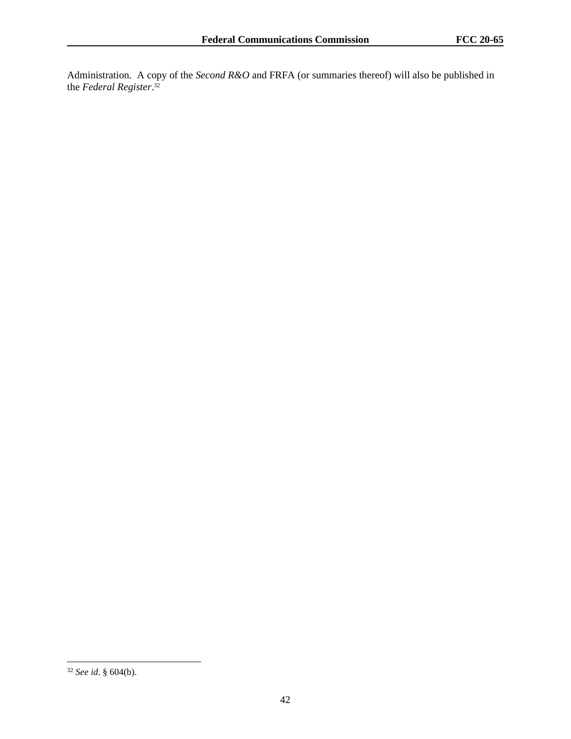Administration. A copy of the *Second R&O* and FRFA (or summaries thereof) will also be published in the *Federal Register*. 32

<sup>32</sup> *See id*. § 604(b).